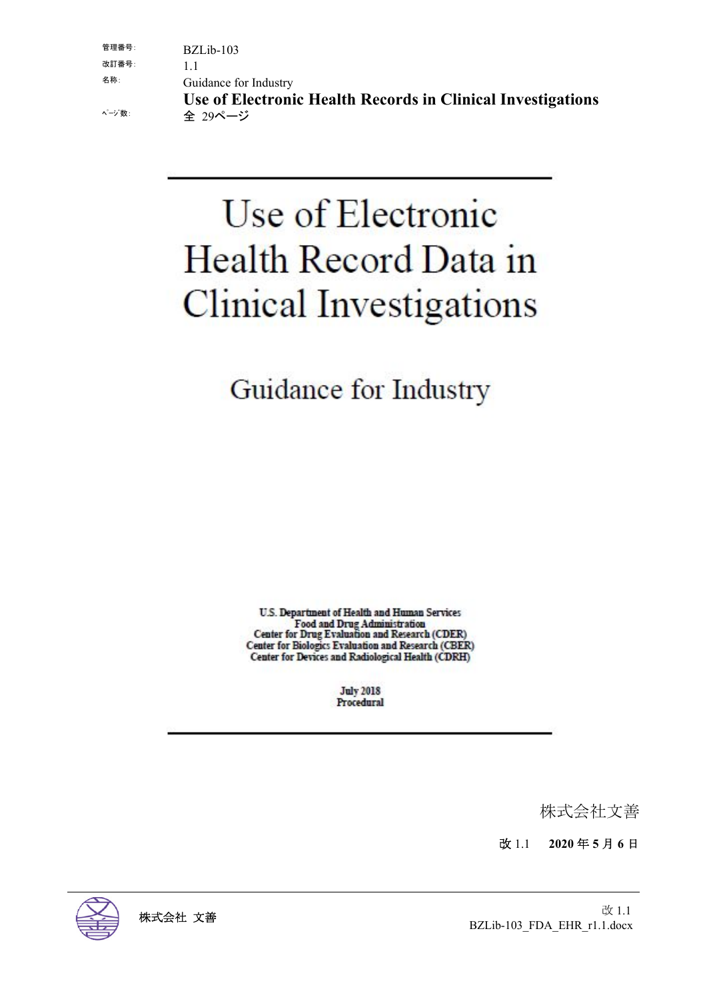| ページ 数: | Use of Electronic Health Records in Clinical Investigations<br>全 29ページ |
|--------|------------------------------------------------------------------------|
| 名称:    | Guidance for Industry                                                  |
| 改訂番号:  |                                                                        |
| 管理番号:  | $BZLib-103$                                                            |
|        |                                                                        |

# Use of Electronic Health Record Data in **Clinical Investigations**

Guidance for Industry

U.S. Department of Health and Human Services Food and Drug Administration<br>Center for Drug Evaluation and Research (CDER) Center for Biologics Evaluation and Research (CBER) Center for Devices and Radiological Health (CDRH)

> **July 2018** Procedural

> > 株式会社文善

改 1.1 **2020** 年 **5** 月 **6** 日

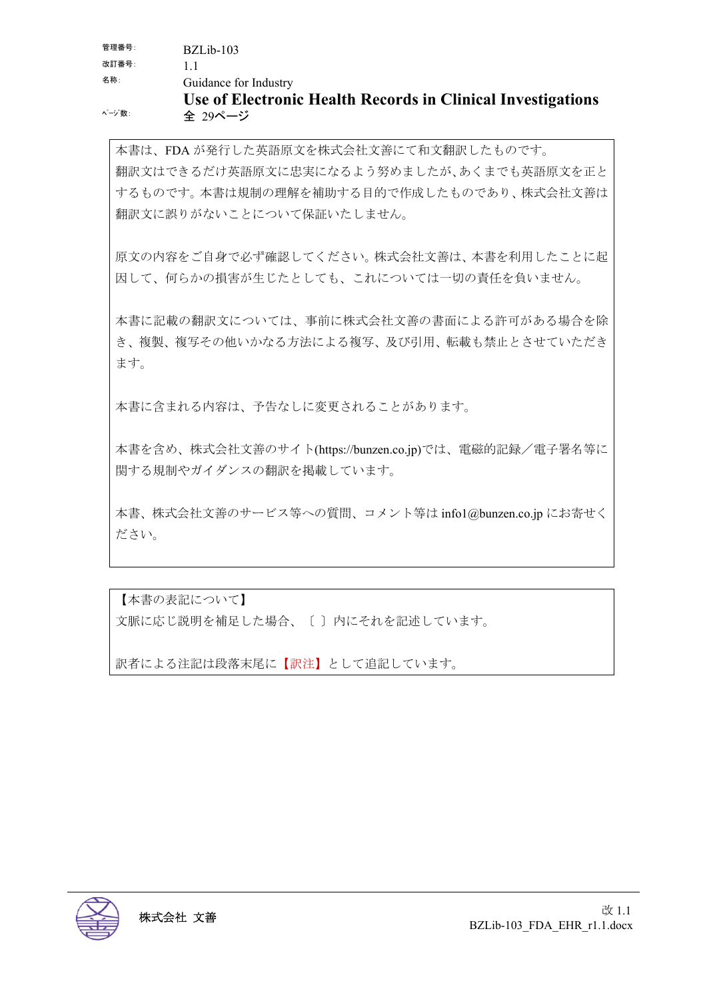本書は、FDA が発行した英語原文を株式会社文善にて和文翻訳したものです。 翻訳文はできるだけ英語原文に忠実になるよう努めましたが、あくまでも英語原文を正と するものです。本書は規制の理解を補助する目的で作成したものであり、株式会社文善は 翻訳文に誤りがないことについて保証いたしません。

原文の内容をご自身で必ず確認してください。株式会社文善は、本書を利用したことに起 因して、何らかの損害が生じたとしても、これについては一切の責任を負いません。

本書に記載の翻訳文については、事前に株式会社文善の書面による許可がある場合を除 き、複製、複写その他いかなる方法による複写、及び引用、転載も禁止とさせていただき ます。

本書に含まれる内容は、予告なしに変更されることがあります。

本書を含め、株式会社文善のサイト(https://bunzen.co.jp)では、電磁的記録/電子署名等に 関する規制やガイダンスの翻訳を掲載しています。

本書、株式会社文善のサービス等への質問、コメント等は info1@bunzen.co.jp にお寄せく ださい。

【本書の表記について】

文脈に応じ説明を補足した場合、〔 〕内にそれを記述しています。

訳者による注記は段落末尾に【訳注】として追記しています。

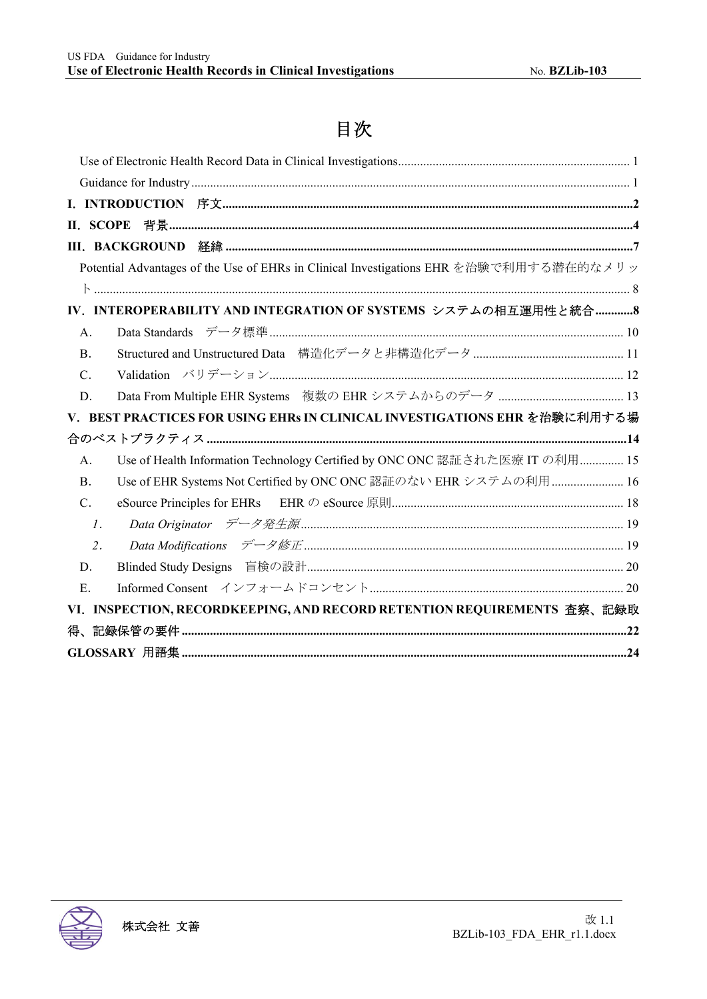## 目次

| П.                                                                                     |
|----------------------------------------------------------------------------------------|
|                                                                                        |
| Potential Advantages of the Use of EHRs in Clinical Investigations EHR を治験で利用する潜在的なメリッ |
|                                                                                        |
| IV. INTEROPERABILITY AND INTEGRATION OF SYSTEMS システムの相互運用性と統合8                         |
| A.                                                                                     |
| <b>B.</b>                                                                              |
| C.                                                                                     |
| D.                                                                                     |
| V. BEST PRACTICES FOR USING EHRs IN CLINICAL INVESTIGATIONS EHR を治験に利用する場              |
|                                                                                        |
| Use of Health Information Technology Certified by ONC ONC 認証された医療 IT の利用 15<br>A.      |
| Use of EHR Systems Not Certified by ONC ONC 認証のない EHR システムの利用  16<br><b>B.</b>         |
| C.                                                                                     |
| $\mathfrak{1}.$                                                                        |
| 2.                                                                                     |
| D.                                                                                     |
| E.                                                                                     |
| VI. INSPECTION, RECORDKEEPING, AND RECORD RETENTION REQUIREMENTS 查察、記録取                |
|                                                                                        |
|                                                                                        |

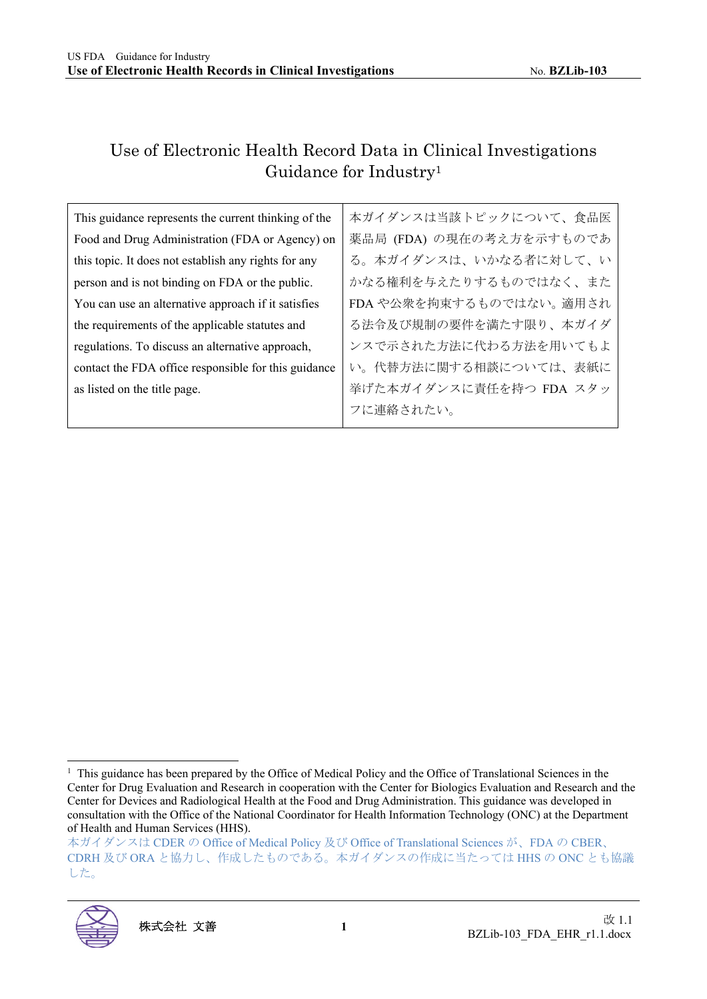## Use of Electronic Health Record Data in Clinical Investigations Guidance for Industry1

| This guidance represents the current thinking of the | 本ガイダンスは当該トピックについて、食品医    |
|------------------------------------------------------|--------------------------|
| Food and Drug Administration (FDA or Agency) on      | 薬品局 (FDA) の現在の考え方を示すものであ |
| this topic. It does not establish any rights for any | る。本ガイダンスは、いかなる者に対して、い    |
| person and is not binding on FDA or the public.      | かなる権利を与えたりするものではなく、また    |
| You can use an alternative approach if it satisfies  | FDA や公衆を拘束するものではない。適用され  |
| the requirements of the applicable statutes and      | る法令及び規制の要件を満たす限り、本ガイダ    |
| regulations. To discuss an alternative approach,     | ンスで示された方法に代わる方法を用いてもよ    |
| contact the FDA office responsible for this guidance | い。代替方法に関する相談については、表紙に    |
| as listed on the title page.                         | 挙げた本ガイダンスに責任を持つ FDA スタッ  |
|                                                      | フに連絡されたい。                |

本ガイダンスは CDER の Office of Medical Policy 及び Office of Translational Sciences が、FDA の CBER、 CDRH 及び ORA と協力し、作成したものである。本ガイダンスの作成に当たっては HHS の ONC とも協議 した。



<sup>&</sup>lt;sup>1</sup> This guidance has been prepared by the Office of Medical Policy and the Office of Translational Sciences in the Center for Drug Evaluation and Research in cooperation with the Center for Biologics Evaluation and Research and the Center for Devices and Radiological Health at the Food and Drug Administration. This guidance was developed in consultation with the Office of the National Coordinator for Health Information Technology (ONC) at the Department of Health and Human Services (HHS).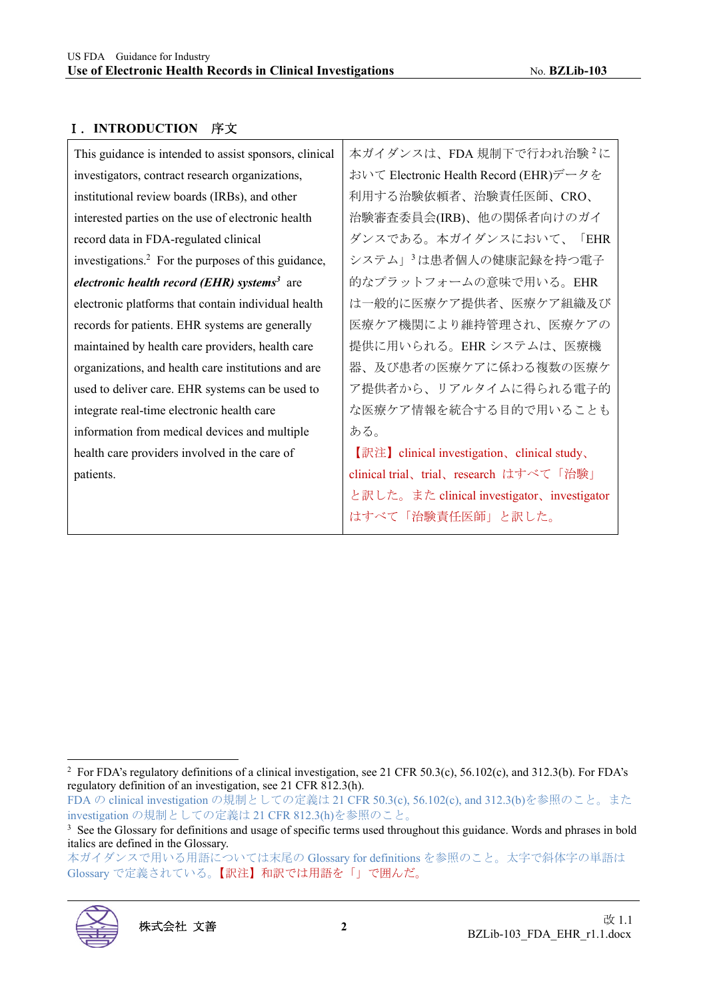#### Ⅰ.**INTRODUCTION** 序文

| 本ガイダンスは、FDA 規制下で行われ治験 <sup>2</sup> に         |
|----------------------------------------------|
| おいて Electronic Health Record (EHR)データを       |
| 利用する治験依頼者、治験責任医師、CRO、                        |
| 治験審査委員会(IRB)、他の関係者向けのガイ                      |
| ダンスである。本ガイダンスにおいて、<br><b>FEHR</b>            |
| システム」 <sup>3</sup> は患者個人の健康記録を持つ電子           |
| 的なプラットフォームの意味で用いる。EHR                        |
| は一般的に医療ケア提供者、医療ケア組織及び                        |
| 医療ケア機関により維持管理され、医療ケアの                        |
| 提供に用いられる。EHR システムは、医療機                       |
| 器、及び患者の医療ケアに係わる複数の医療ケ                        |
| ア提供者から、リアルタイムに得られる電子的                        |
| な医療ケア情報を統合する目的で用いることも                        |
| ある。                                          |
| 【訳注】 clinical investigation、 clinical study、 |
| clinical trial、trial、research はすべて「治験」       |
| と訳した。また clinical investigator、investigator   |
| はすべて「治験責任医師」と訳した。                            |
|                                              |

FDA の clinical investigation の規制としての定義は 21 CFR 50.3(c), 56.102(c), and 312.3(b)を参照のこと。また investigation の規制としての定義は 21 CFR 812.3(h)を参照のこと。

本ガイダンスで用いる用語については末尾の Glossary for definitions を参照のこと。太字で斜体字の単語は Glossary で定義されている。【訳注】和訳では用語を「」で囲んだ。



<sup>&</sup>lt;sup>2</sup> For FDA's regulatory definitions of a clinical investigation, see 21 CFR 50.3(c), 56.102(c), and 312.3(b). For FDA's regulatory definition of an investigation, see 21 CFR 812.3(h).

<sup>&</sup>lt;sup>3</sup> See the Glossary for definitions and usage of specific terms used throughout this guidance. Words and phrases in bold italics are defined in the Glossary.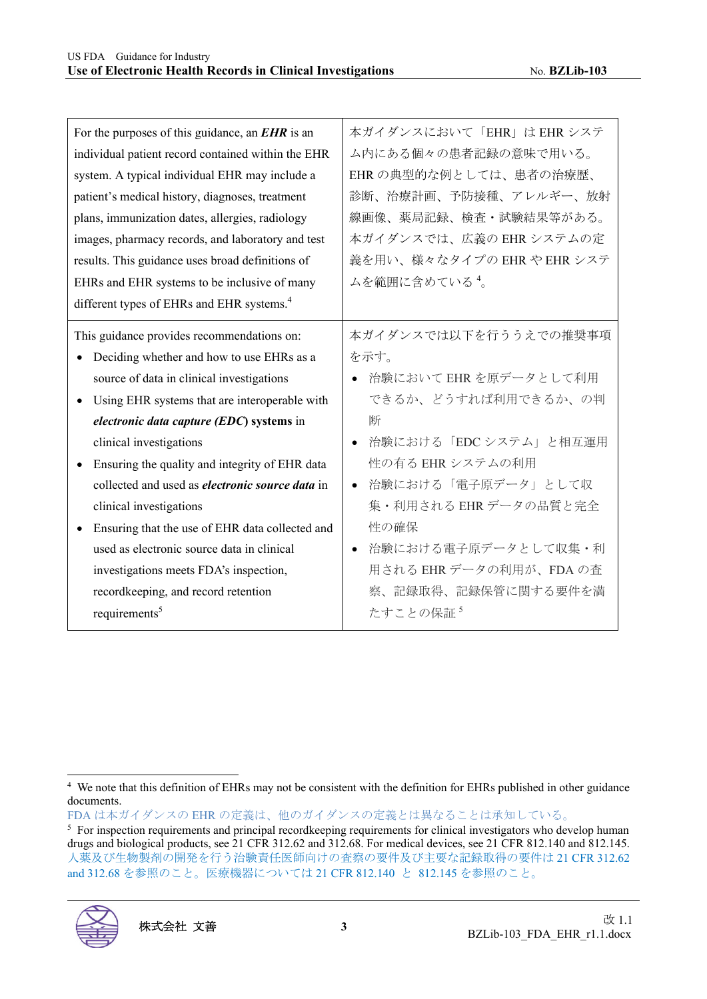| For the purposes of this guidance, an $EHR$ is an      | 本ガイダンスにおいて「EHR」は EHR システ         |
|--------------------------------------------------------|----------------------------------|
| individual patient record contained within the EHR     | ム内にある個々の患者記録の意味で用いる。             |
| system. A typical individual EHR may include a         | EHRの典型的な例としては、患者の治療歴、            |
| patient's medical history, diagnoses, treatment        | 診断、治療計画、予防接種、アレルギー、放射            |
| plans, immunization dates, allergies, radiology        | 線画像、薬局記録、検査・試験結果等がある。            |
| images, pharmacy records, and laboratory and test      | 本ガイダンスでは、広義の EHR システムの定          |
| results. This guidance uses broad definitions of       | 義を用い、様々なタイプの EHR や EHR システ       |
| EHRs and EHR systems to be inclusive of many           | ムを範囲に含めている 4。                    |
| different types of EHRs and EHR systems. <sup>4</sup>  |                                  |
| This guidance provides recommendations on:             | 本ガイダンスでは以下を行ううえでの推奨事項            |
| Deciding whether and how to use EHRs as a              | を示す。                             |
| source of data in clinical investigations              | ● 治験において EHR を原データとして利用          |
| Using EHR systems that are interoperable with          | できるか、どうすれば利用できるか、の判              |
| electronic data capture (EDC) systems in               | 断                                |
| clinical investigations                                | 治験における「EDC システム」と相互運用            |
| Ensuring the quality and integrity of EHR data         | 性の有る EHR システムの利用                 |
| collected and used as <i>electronic source data</i> in | 治験における「電子原データ」として収<br>$\bullet$  |
| clinical investigations                                | 集·利用される EHR データの品質と完全            |
| Ensuring that the use of EHR data collected and        | 性の確保                             |
| used as electronic source data in clinical             | 治験における電子原データとして収集・利<br>$\bullet$ |
| investigations meets FDA's inspection,                 | 用される EHR データの利用が、FDA の査          |
| recordkeeping, and record retention                    | 察、記録取得、記録保管に関する要件を満              |
| requirements <sup>5</sup>                              | たすことの保証5                         |
|                                                        |                                  |

FDA は本ガイダンスの EHR の定義は、他のガイダンスの定義とは異なることは承知している。

<sup>&</sup>lt;sup>5</sup> For inspection requirements and principal recordkeeping requirements for clinical investigators who develop human drugs and biological products, see 21 CFR 312.62 and 312.68. For medical devices, see 21 CFR 812.140 and 812.145. 人薬及び生物製剤の開発を行う治験責任医師向けの査察の要件及び主要な記録取得の要件は 21 CFR 312.62 and 312.68 を参照のこと。医療機器については 21 CFR 812.140 と 812.145 を参照のこと。



<sup>4</sup> We note that this definition of EHRs may not be consistent with the definition for EHRs published in other guidance documents.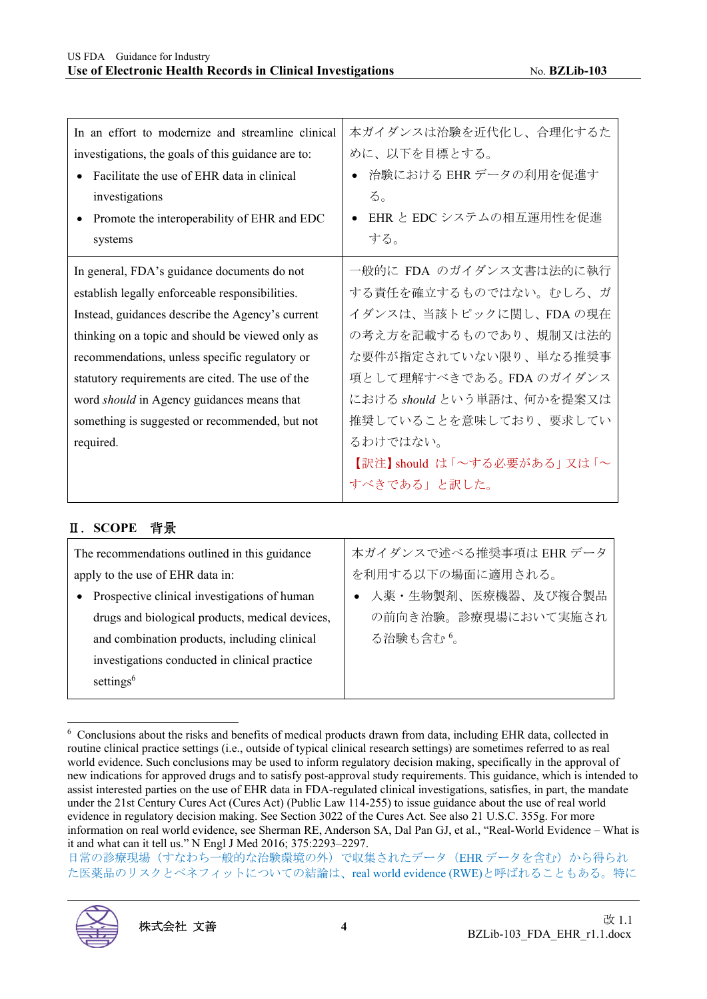| In an effort to modernize and streamline clinical<br>investigations, the goals of this guidance are to:<br>Facilitate the use of EHR data in clinical<br>investigations<br>Promote the interoperability of EHR and EDC<br>systems | 本ガイダンスは治験を近代化し、合理化するた<br>めに、以下を目標とする。<br>治験における EHR データの利用を促進す<br>る。<br>EHR と EDC システムの相互運用性を促進<br>する。 |
|-----------------------------------------------------------------------------------------------------------------------------------------------------------------------------------------------------------------------------------|--------------------------------------------------------------------------------------------------------|
| In general, FDA's guidance documents do not                                                                                                                                                                                       | 一般的に FDA のガイダンス文書は法的に執行                                                                                |
| establish legally enforceable responsibilities.                                                                                                                                                                                   | する責任を確立するものではない。むしろ、ガ                                                                                  |
| Instead, guidances describe the Agency's current                                                                                                                                                                                  | イダンスは、当該トピックに関し、FDAの現在                                                                                 |
| thinking on a topic and should be viewed only as                                                                                                                                                                                  | の考え方を記載するものであり、規制又は法的                                                                                  |
| recommendations, unless specific regulatory or                                                                                                                                                                                    | な要件が指定されていない限り、単なる推奨事                                                                                  |
| statutory requirements are cited. The use of the                                                                                                                                                                                  | 項として理解すべきである。FDA のガイダンス                                                                                |
| word <i>should</i> in Agency guidances means that                                                                                                                                                                                 | における should という単語は、何かを提案又は                                                                             |
| something is suggested or recommended, but not                                                                                                                                                                                    | 推奨していることを意味しており、要求してい                                                                                  |
| required.                                                                                                                                                                                                                         | るわけではない。                                                                                               |
|                                                                                                                                                                                                                                   | 【訳注】should は「~する必要がある」 又は 「~                                                                           |
|                                                                                                                                                                                                                                   | すべきである」と訳した。                                                                                           |

#### Ⅱ.**SCOPE** 背景

| 本ガイダンスで述べる推奨事項は EHR データ |
|-------------------------|
| を利用する以下の場面に適用される。       |
| 人薬・生物製剤、医療機器、及び複合製品     |
| の前向き治験。診療現場において実施され     |
|                         |
|                         |
|                         |
|                         |

<sup>6</sup> Conclusions about the risks and benefits of medical products drawn from data, including EHR data, collected in routine clinical practice settings (i.e., outside of typical clinical research settings) are sometimes referred to as real world evidence. Such conclusions may be used to inform regulatory decision making, specifically in the approval of new indications for approved drugs and to satisfy post-approval study requirements. This guidance, which is intended to assist interested parties on the use of EHR data in FDA-regulated clinical investigations, satisfies, in part, the mandate under the 21st Century Cures Act (Cures Act) (Public Law 114-255) to issue guidance about the use of real world evidence in regulatory decision making. See Section 3022 of the Cures Act. See also 21 U.S.C. 355g. For more information on real world evidence, see Sherman RE, Anderson SA, Dal Pan GJ, et al., "Real-World Evidence – What is it and what can it tell us." N Engl J Med 2016; 375:2293–2297.

日常の診療現場(すなわち一般的な治験環境の外)で収集されたデータ(EHR データを含む)から得られ た医薬品のリスクとベネフィットについての結論は、real world evidence (RWE)と呼ばれることもある。特に

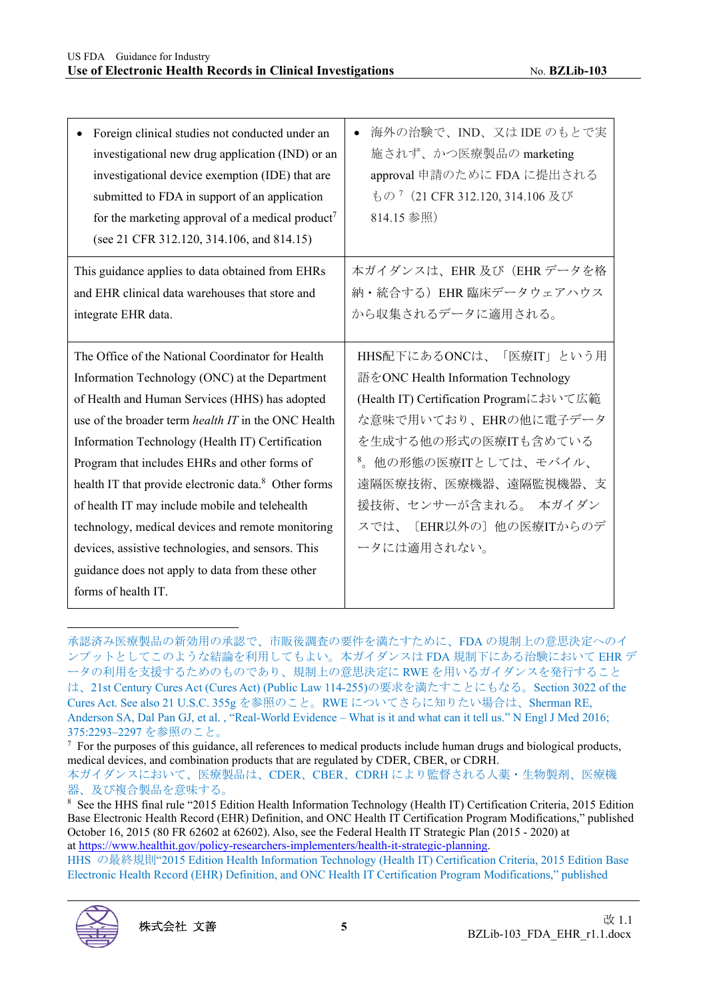| Foreign clinical studies not conducted under an<br>investigational new drug application (IND) or an<br>investigational device exemption (IDE) that are<br>submitted to FDA in support of an application<br>for the marketing approval of a medical product <sup>7</sup><br>(see 21 CFR 312.120, 314.106, and 814.15)                                      | 海外の治験で、IND、又はIDEのもとで実<br>施されず、かつ医療製品の marketing<br>approval 申請のために FDA に提出される<br>もの <sup>7</sup> (21 CFR 312.120, 314.106 及び<br>814.15 参照)                 |
|-----------------------------------------------------------------------------------------------------------------------------------------------------------------------------------------------------------------------------------------------------------------------------------------------------------------------------------------------------------|------------------------------------------------------------------------------------------------------------------------------------------------------------|
| This guidance applies to data obtained from EHRs<br>and EHR clinical data warehouses that store and<br>integrate EHR data.                                                                                                                                                                                                                                | 本ガイダンスは、EHR及び (EHRデータを格<br>納·統合する) EHR 臨床データウェアハウス<br>から収集されるデータに適用される。                                                                                    |
| The Office of the National Coordinator for Health<br>Information Technology (ONC) at the Department<br>of Health and Human Services (HHS) has adopted<br>use of the broader term <i>health IT</i> in the ONC Health<br>Information Technology (Health IT) Certification                                                                                   | HHS配下にあるONCは、「医療IT」という用<br>語をONC Health Information Technology<br>(Health IT) Certification Programにおいて広範<br>な意味で用いており、EHRの他に電子データ<br>を生成する他の形式の医療ITも含めている |
|                                                                                                                                                                                                                                                                                                                                                           |                                                                                                                                                            |
| Program that includes EHRs and other forms of<br>health IT that provide electronic data. <sup>8</sup> Other forms<br>of health IT may include mobile and telehealth<br>technology, medical devices and remote monitoring<br>devices, assistive technologies, and sensors. This<br>guidance does not apply to data from these other<br>forms of health IT. | 8. 他の形態の医療ITとしては、モバイル、<br>遠隔医療技術、医療機器、遠隔監視機器、支<br>援技術、センサーが含まれる。 本ガイダン<br>スでは、〔EHR以外の〕他の医療ITからのデ<br>ータには適用されない。                                            |

承認済み医療製品の新効用の承認で、市販後調査の要件を満たすために、FDA の規制上の意思決定へのイ ンプットとしてこのような結論を利用してもよい。本ガイダンスは FDA 規制下にある治験において EHR デ ータの利用を支援するためのものであり、規制上の意思決定に RWE を用いるガイダンスを発行すること は、21st Century Cures Act (Cures Act) (Public Law 114-255)の要求を満たすことにもなる。Section 3022 of the Cures Act. See also 21 U.S.C. 355g を参照のこと。RWE についてさらに知りたい場合は、Sherman RE, Anderson SA, Dal Pan GJ, et al. , "Real-World Evidence – What is it and what can it tell us." N Engl J Med 2016; 375:2293–2297 を参照のこと。

HHS の最終規則"2015 Edition Health Information Technology (Health IT) Certification Criteria, 2015 Edition Base Electronic Health Record (EHR) Definition, and ONC Health IT Certification Program Modifications," published



 $<sup>7</sup>$  For the purposes of this guidance, all references to medical products include human drugs and biological products,</sup> medical devices, and combination products that are regulated by CDER, CBER, or CDRH. 本ガイダンスにおいて、医療製品は、CDER、CBER、CDRH により監督される人薬・生物製剤、医療機 器、及び複合製品を意味する。

<sup>8</sup> See the HHS final rule "2015 Edition Health Information Technology (Health IT) Certification Criteria, 2015 Edition Base Electronic Health Record (EHR) Definition, and ONC Health IT Certification Program Modifications," published October 16, 2015 (80 FR 62602 at 62602). Also, see the Federal Health IT Strategic Plan (2015 - 2020) at at https://www.healthit.gov/policy-researchers-implementers/health-it-strategic-planning.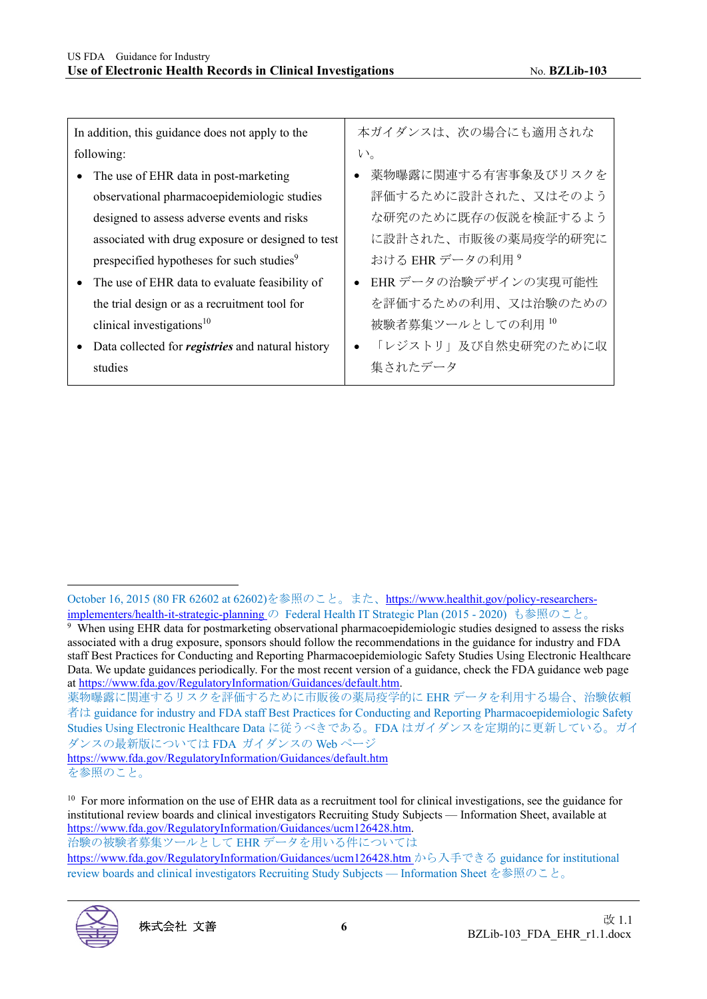| In addition, this guidance does not apply to the |                                                          |              | 本ガイダンスは、次の場合にも適用されな         |
|--------------------------------------------------|----------------------------------------------------------|--------------|-----------------------------|
| following:                                       |                                                          | $V_{\alpha}$ |                             |
|                                                  | The use of EHR data in post-marketing                    | $\bullet$    | 薬物曝露に関連する有害事象及びリスクを         |
|                                                  | observational pharmacoepidemiologic studies              |              | 評価するために設計された、又はそのよう         |
|                                                  | designed to assess adverse events and risks              |              | な研究のために既存の仮説を検証するよう         |
|                                                  | associated with drug exposure or designed to test        |              | に設計された、市販後の薬局疫学的研究に         |
|                                                  | prespecified hypotheses for such studies <sup>9</sup>    |              | おける EHR データの利用 <sup>9</sup> |
|                                                  | The use of EHR data to evaluate feasibility of           |              | ● EHR データの治験デザインの実現可能性      |
|                                                  | the trial design or as a recruitment tool for            |              | を評価するための利用、又は治験のための         |
|                                                  | clinical investigations $10$                             |              | 被験者募集ツールとしての利用10            |
|                                                  | Data collected for <i>registries</i> and natural history |              | 「レジストリ」及び自然史研究のために収         |
|                                                  | studies                                                  |              | 集されたデータ                     |

https://www.fda.gov/RegulatoryInformation/Guidances/default.htm を参照のこと。

https://www.fda.gov/RegulatoryInformation/Guidances/ucm126428.htm から入手できる guidance for institutional review boards and clinical investigators Recruiting Study Subjects — Information Sheet を参照のこと。



October 16, 2015 (80 FR 62602 at 62602)を参照のこと。また、https://www.healthit.gov/policy-researchersimplementers/health-it-strategic-planning の Federal Health IT Strategic Plan (2015 - 2020) も参照のこと。

<sup>9</sup> When using EHR data for postmarketing observational pharmacoepidemiologic studies designed to assess the risks associated with a drug exposure, sponsors should follow the recommendations in the guidance for industry and FDA staff Best Practices for Conducting and Reporting Pharmacoepidemiologic Safety Studies Using Electronic Healthcare Data. We update guidances periodically. For the most recent version of a guidance, check the FDA guidance web page at https://www.fda.gov/RegulatoryInformation/Guidances/default.htm.

薬物曝露に関連するリスクを評価するために市販後の薬局疫学的に EHR データを利用する場合、治験依頼 者は guidance for industry and FDA staff Best Practices for Conducting and Reporting Pharmacoepidemiologic Safety Studies Using Electronic Healthcare Data に従うべきである。FDA はガイダンスを定期的に更新している。ガイ ダンスの最新版については FDA ガイダンスの Web ページ

<sup>&</sup>lt;sup>10</sup> For more information on the use of EHR data as a recruitment tool for clinical investigations, see the guidance for institutional review boards and clinical investigators Recruiting Study Subjects — Information Sheet, available at https://www.fda.gov/RegulatoryInformation/Guidances/ucm126428.htm. 治験の被験者募集ツールとして EHR データを用いる件については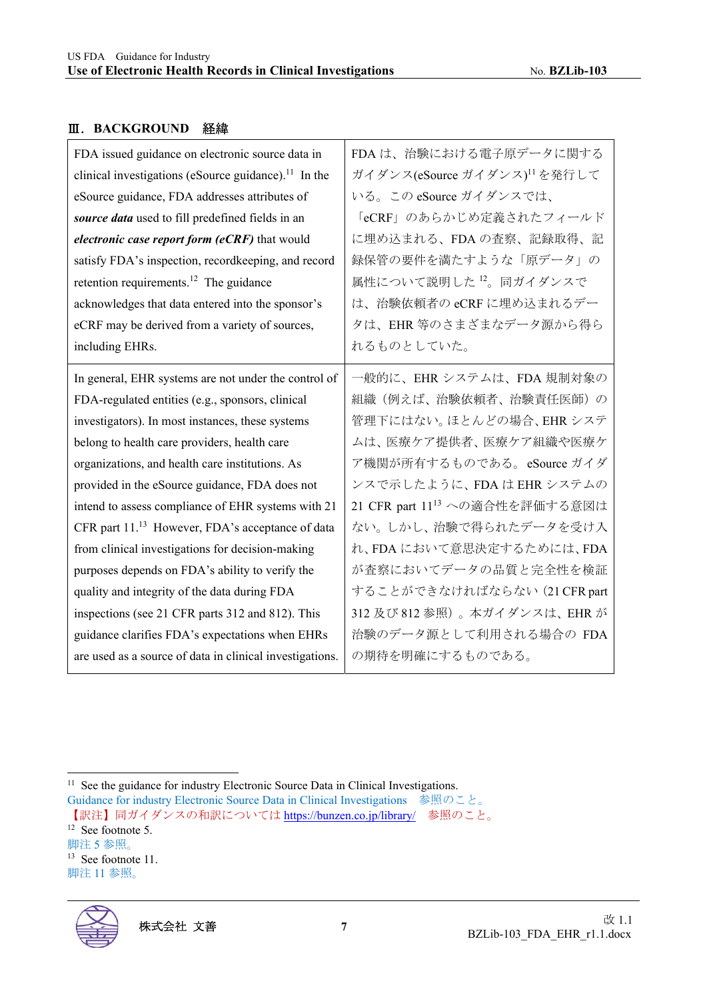#### Ⅲ.**BACKGROUND** 経緯

| FDA issued guidance on electronic source data in                 | FDAは、治験における電子原データに関する                      |
|------------------------------------------------------------------|--------------------------------------------|
| clinical investigations (eSource guidance). <sup>11</sup> In the | ガイダンス(eSource ガイダンス) <sup>11</sup> を発行して   |
| eSource guidance, FDA addresses attributes of                    | いる。この eSource ガイダンスでは、                     |
| source data used to fill predefined fields in an                 | 「eCRF」のあらかじめ定義されたフィールド                     |
| electronic case report form (eCRF) that would                    | に埋め込まれる、FDAの査察、記録取得、記                      |
| satisfy FDA's inspection, recordkeeping, and record              | 録保管の要件を満たすような「原データ」の                       |
| retention requirements. <sup>12</sup> The guidance               | 属性について説明した12。同ガイダンスで                       |
| acknowledges that data entered into the sponsor's                | は、治験依頼者の eCRF に埋め込まれるデー                    |
| eCRF may be derived from a variety of sources,                   | タは、EHR 等のさまざまなデータ源から得ら                     |
| including EHRs.                                                  | れるものとしていた。                                 |
| In general, EHR systems are not under the control of             | 一般的に、EHRシステムは、FDA規制対象の                     |
| FDA-regulated entities (e.g., sponsors, clinical                 | 組織(例えば、治験依頼者、治験責任医師)の                      |
| investigators). In most instances, these systems                 | 管理下にはない。ほとんどの場合、EHRシステ                     |
| belong to health care providers, health care                     | ムは、医療ケア提供者、医療ケア組織や医療ケ                      |
| organizations, and health care institutions. As                  | ア機関が所有するものである。eSource ガイダ                  |
| provided in the eSource guidance, FDA does not                   | ンスで示したように、FDA は EHR システムの                  |
| intend to assess compliance of EHR systems with 21               | 21 CFR part 11 <sup>13</sup> への適合性を評価する意図は |
| CFR part 11. <sup>13</sup> However, FDA's acceptance of data     | ない。しかし、治験で得られたデータを受け入                      |
| from clinical investigations for decision-making                 | れ、FDAにおいて意思決定するためには、FDA                    |
| purposes depends on FDA's ability to verify the                  | が査察においてデータの品質と完全性を検証                       |
| quality and integrity of the data during FDA                     | することができなければならない(21 CFR part                |
| inspections (see 21 CFR parts 312 and 812). This                 | 312 及び 812 参照)。本ガイダンスは、EHR が               |
| guidance clarifies FDA's expectations when EHRs                  | 治験のデータ源として利用される場合の FDA                     |
| are used as a source of data in clinical investigations.         | の期待を明確にするものである。                            |

脚注 5 参照。 <sup>13</sup> See footnote 11. 脚注 11 参照。



<sup>&</sup>lt;sup>11</sup> See the guidance for industry Electronic Source Data in Clinical Investigations.

Guidance for industry Electronic Source Data in Clinical Investigations 参照のこと。 【訳注】同ガイダンスの和訳については https://bunzen.co.jp/library/ 参照のこと。  $12$  See footnote 5.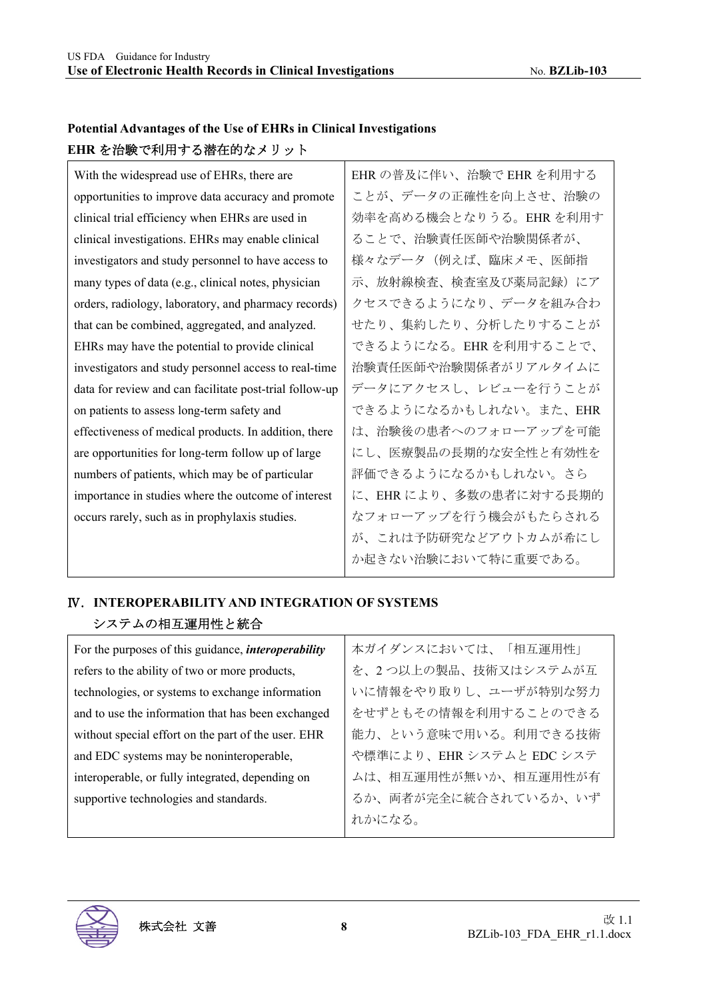#### **Potential Advantages of the Use of EHRs in Clinical Investigations EHR** を治験で利用する潜在的なメリット

| With the widespread use of EHRs, there are              | EHR の普及に伴い、治験で EHR を利用する |
|---------------------------------------------------------|--------------------------|
| opportunities to improve data accuracy and promote      | ことが、データの正確性を向上させ、治験の     |
| clinical trial efficiency when EHRs are used in         | 効率を高める機会となりうる。EHRを利用す    |
| clinical investigations. EHRs may enable clinical       | ることで、治験責任医師や治験関係者が、      |
| investigators and study personnel to have access to     | 様々なデータ(例えば、臨床メモ、医師指      |
| many types of data (e.g., clinical notes, physician     | 示、放射線検査、検査室及び薬局記録)にア     |
| orders, radiology, laboratory, and pharmacy records)    | クセスできるようになり、データを組み合わ     |
| that can be combined, aggregated, and analyzed.         | せたり、集約したり、分析したりすることが     |
| EHRs may have the potential to provide clinical         | できるようになる。EHR を利用することで、   |
| investigators and study personnel access to real-time   | 治験責任医師や治験関係者がリアルタイムに     |
| data for review and can facilitate post-trial follow-up | データにアクセスし、レビューを行うことが     |
| on patients to assess long-term safety and              | できるようになるかもしれない。また、EHR    |
| effectiveness of medical products. In addition, there   | は、治験後の患者へのフォローアップを可能     |
| are opportunities for long-term follow up of large      | にし、医療製品の長期的な安全性と有効性を     |
| numbers of patients, which may be of particular         | 評価できるようになるかもしれない。さら      |
| importance in studies where the outcome of interest     | に、EHR により、多数の患者に対する長期的   |
| occurs rarely, such as in prophylaxis studies.          | なフォローアップを行う機会がもたらされる     |
|                                                         | が、これは予防研究などアウトカムが希にし     |

#### Ⅳ.**INTEROPERABILITY AND INTEGRATION OF SYSTEMS**  システムの相互運用性と統合

| For the purposes of this guidance, <i>interoperability</i> | 本ガイダンスにおいては、「相互運用性」    |
|------------------------------------------------------------|------------------------|
| refers to the ability of two or more products,             | を、2つ以上の製品、技術又はシステムが互   |
| technologies, or systems to exchange information           | いに情報をやり取りし、ユーザが特別な努力   |
| and to use the information that has been exchanged         | をせずともその情報を利用することのできる   |
| without special effort on the part of the user. EHR        | 能力、という意味で用いる。利用できる技術   |
| and EDC systems may be noninteroperable,                   | や標準により、EHRシステムと EDCシステ |
| interoperable, or fully integrated, depending on           | ムは、相互運用性が無いか、相互運用性が有   |
| supportive technologies and standards.                     | るか、両者が完全に統合されているか、いず   |
|                                                            | れかになる。                 |



か起きない治験において特に重要である。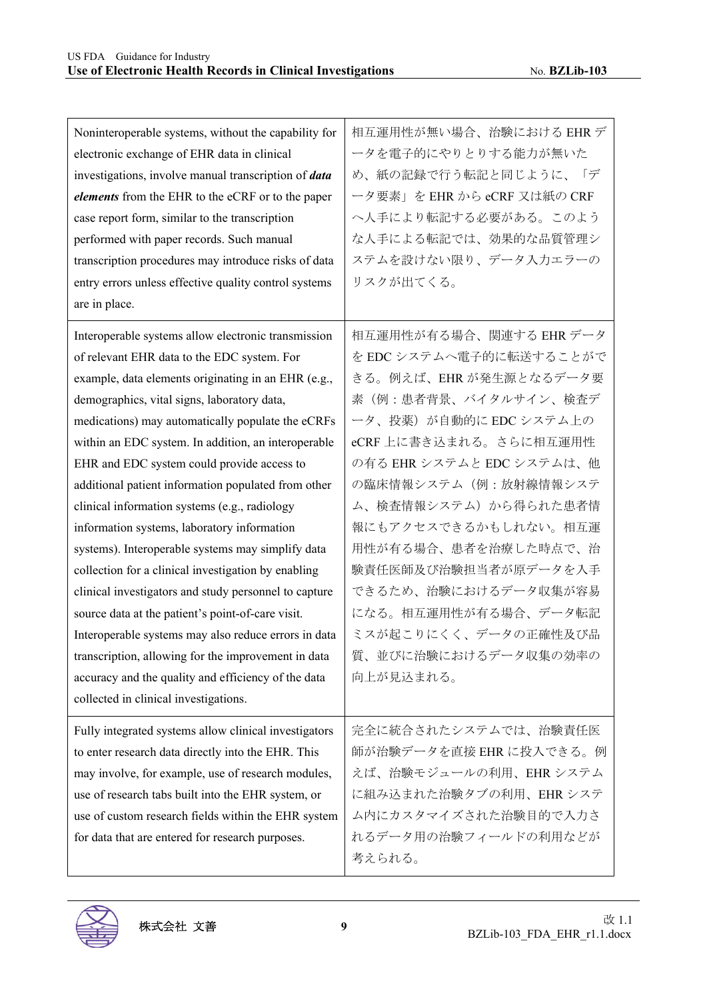| Noninteroperable systems, without the capability for<br>electronic exchange of EHR data in clinical<br>investigations, involve manual transcription of data<br>elements from the EHR to the eCRF or to the paper<br>case report form, similar to the transcription<br>performed with paper records. Such manual<br>transcription procedures may introduce risks of data                                                                                                                                                                                                                                                                                                                                                                                                                                                                                                                                                                                            | 相互運用性が無い場合、治験における EHR デ<br>ータを電子的にやりとりする能力が無いた<br>め、紙の記録で行う転記と同じように、「デ<br>ータ要素」を EHR から eCRF 又は紙の CRF<br>へ人手により転記する必要がある。このよう<br>な人手による転記では、効果的な品質管理シ<br>ステムを設けない限り、データ入力エラーの                                                                                                                                                                                                                                             |
|--------------------------------------------------------------------------------------------------------------------------------------------------------------------------------------------------------------------------------------------------------------------------------------------------------------------------------------------------------------------------------------------------------------------------------------------------------------------------------------------------------------------------------------------------------------------------------------------------------------------------------------------------------------------------------------------------------------------------------------------------------------------------------------------------------------------------------------------------------------------------------------------------------------------------------------------------------------------|---------------------------------------------------------------------------------------------------------------------------------------------------------------------------------------------------------------------------------------------------------------------------------------------------------------------------------------------------------------------------------------------------------------------------|
| entry errors unless effective quality control systems<br>are in place.                                                                                                                                                                                                                                                                                                                                                                                                                                                                                                                                                                                                                                                                                                                                                                                                                                                                                             | リスクが出てくる。                                                                                                                                                                                                                                                                                                                                                                                                                 |
| Interoperable systems allow electronic transmission<br>of relevant EHR data to the EDC system. For<br>example, data elements originating in an EHR (e.g.,<br>demographics, vital signs, laboratory data,<br>medications) may automatically populate the eCRFs<br>within an EDC system. In addition, an interoperable<br>EHR and EDC system could provide access to<br>additional patient information populated from other<br>clinical information systems (e.g., radiology<br>information systems, laboratory information<br>systems). Interoperable systems may simplify data<br>collection for a clinical investigation by enabling<br>clinical investigators and study personnel to capture<br>source data at the patient's point-of-care visit.<br>Interoperable systems may also reduce errors in data<br>transcription, allowing for the improvement in data<br>accuracy and the quality and efficiency of the data<br>collected in clinical investigations. | 相互運用性が有る場合、関連する EHR データ<br>を EDC システムへ電子的に転送することがで<br>きる。例えば、EHR が発生源となるデータ要<br>素(例:患者背景、バイタルサイン、検査デ<br>ータ、投薬)が自動的に EDC システム上の<br>eCRF上に書き込まれる。さらに相互運用性<br>の有る EHR システムと EDC システムは、他<br>の臨床情報システム(例:放射線情報システ<br>ム、検査情報システム)から得られた患者情<br>報にもアクセスできるかもしれない。相互運<br>用性が有る場合、患者を治療した時点で、治<br>験責任医師及び治験担当者が原データを入手<br>できるため、治験におけるデータ収集が容易<br>になる。相互運用性が有る場合、データ転記<br>ミスが起こりにくく、データの正確性及び品<br>質、並びに治験におけるデータ収集の効率の<br>向上が見込まれる。 |
| Fully integrated systems allow clinical investigators<br>to enter research data directly into the EHR. This<br>may involve, for example, use of research modules,<br>use of research tabs built into the EHR system, or<br>use of custom research fields within the EHR system<br>for data that are entered for research purposes.                                                                                                                                                                                                                                                                                                                                                                                                                                                                                                                                                                                                                                 | 完全に統合されたシステムでは、治験責任医<br>師が治験データを直接 EHR に投入できる。例<br>えば、治験モジュールの利用、EHRシステム<br>に組み込まれた治験タブの利用、EHRシステ<br>ム内にカスタマイズされた治験目的で入力さ<br>れるデータ用の治験フィールドの利用などが<br>考えられる。                                                                                                                                                                                                                                                               |

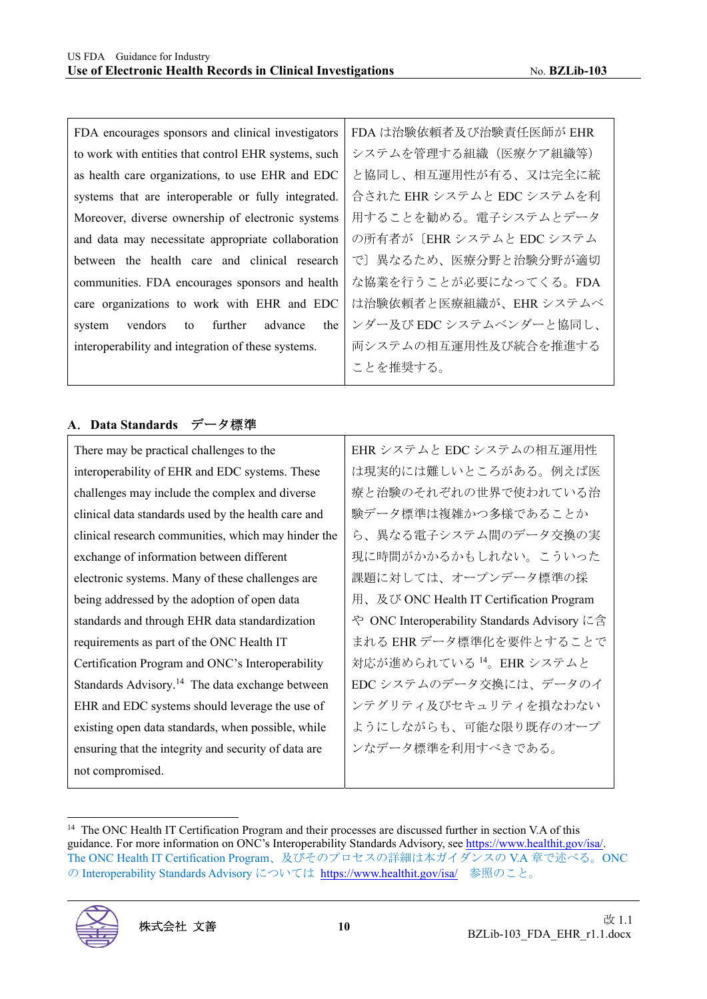FDA encourages sponsors and clinical investigators to work with entities that control EHR systems, such as health care organizations, to use EHR and EDC systems that are interoperable or fully integrated. Moreover, diverse ownership of electronic systems and data may necessitate appropriate collaboration between the health care and clinical research communities. FDA encourages sponsors and health care organizations to work with EHR and EDC system vendors to further advance the interoperability and integration of these systems. FDA は治験依頼者及び治験責任医師が EHR システムを管理する組織(医療ケア組織等) と協同し、相互運用性が有る、又は完全に統 合された EHR システムと EDC システムを利 用することを勧める。電子システムとデータ の所有者が〔EHR システムと EDC システム で〕異なるため、医療分野と治験分野が適切 な協業を行うことが必要になってくる。FDA は治験依頼者と医療組織が、EHR システムベ ンダー及び EDC システムベンダーと協同し、 両システムの相互運用性及び統合を推進する ことを推奨する。

#### **A**.**Data Standards** データ標準

There may be practical challenges to the interoperability of EHR and EDC systems. These challenges may include the complex and diverse clinical data standards used by the health care and clinical research communities, which may hinder the exchange of information between different electronic systems. Many of these challenges are being addressed by the adoption of open data standards and through EHR data standardization requirements as part of the ONC Health IT Certification Program and ONC's Interoperability Standards Advisory.<sup>14</sup> The data exchange between EHR and EDC systems should leverage the use of existing open data standards, when possible, while ensuring that the integrity and security of data are not compromised.

EHR システムと EDC システムの相互運用性 は現実的には難しいところがある。例えば医 療と治験のそれぞれの世界で使われている治 験データ標準は複雑かつ多様であることか ら、異なる電子システム間のデータ交換の実 現に時間がかかるかもしれない。こういった 課題に対しては、オープンデータ標準の採 用、及び ONC Health IT Certification Program や ONC Interoperability Standards Advisory に含 まれる EHR データ標準化を要件とすることで 対応が進められている <sup>14</sup>。EHR システムと EDC システムのデータ交換には、データのイ ンテグリティ及びセキュリティを損なわない ようにしながらも、可能な限り既存のオープ ンなデータ標準を利用すべきである。

<sup>&</sup>lt;sup>14</sup> The ONC Health IT Certification Program and their processes are discussed further in section V.A of this guidance. For more information on ONC's Interoperability Standards Advisory, see https://www.healthit.gov/isa/. The ONC Health IT Certification Program、及びそのプロセスの詳細は本ガイダンスの V.A 章で述べる。ONC の Interoperability Standards Advisory については https://www.healthit.gov/isa/ 参照のこと。

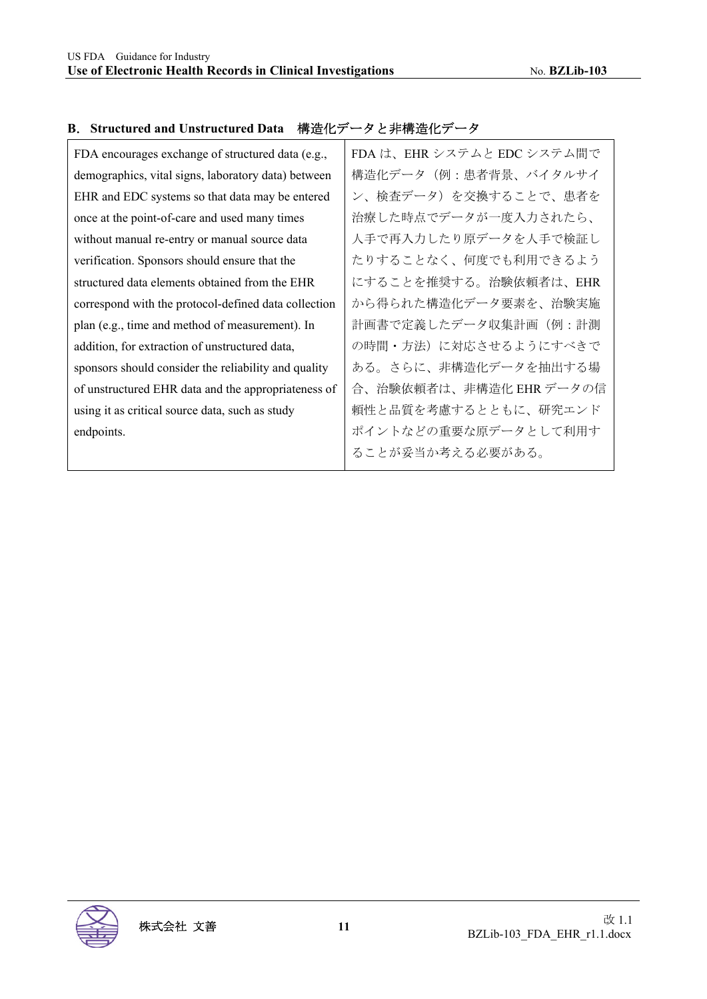| FDA encourages exchange of structured data (e.g.,    | FDA は、EHR システムと EDC システム間で |
|------------------------------------------------------|----------------------------|
| demographics, vital signs, laboratory data) between  | 構造化データ(例:患者背景、バイタルサイ       |
| EHR and EDC systems so that data may be entered      | ン、検査データ)を交換することで、患者を       |
| once at the point-of-care and used many times        | 治療した時点でデータが一度入力されたら、       |
| without manual re-entry or manual source data        | 人手で再入力したり原データを人手で検証し       |
| verification. Sponsors should ensure that the        | たりすることなく、何度でも利用できるよう       |
| structured data elements obtained from the EHR       | にすることを推奨する。治験依頼者は、EHR      |
| correspond with the protocol-defined data collection | から得られた構造化データ要素を、治験実施       |
| plan (e.g., time and method of measurement). In      | 計画書で定義したデータ収集計画(例:計測       |
| addition, for extraction of unstructured data,       | の時間・方法)に対応させるようにすべきで       |
| sponsors should consider the reliability and quality | ある。さらに、非構造化データを抽出する場       |
| of unstructured EHR data and the appropriateness of  | 合、治験依頼者は、非構造化 EHR データの信    |
| using it as critical source data, such as study      | 頼性と品質を考慮するとともに、研究エンド       |
| endpoints.                                           | ポイントなどの重要な原データとして利用す       |
|                                                      | ることが妥当か考える必要がある。           |
|                                                      |                            |

#### **B**.**Structured and Unstructured Data** 構造化データと非構造化データ

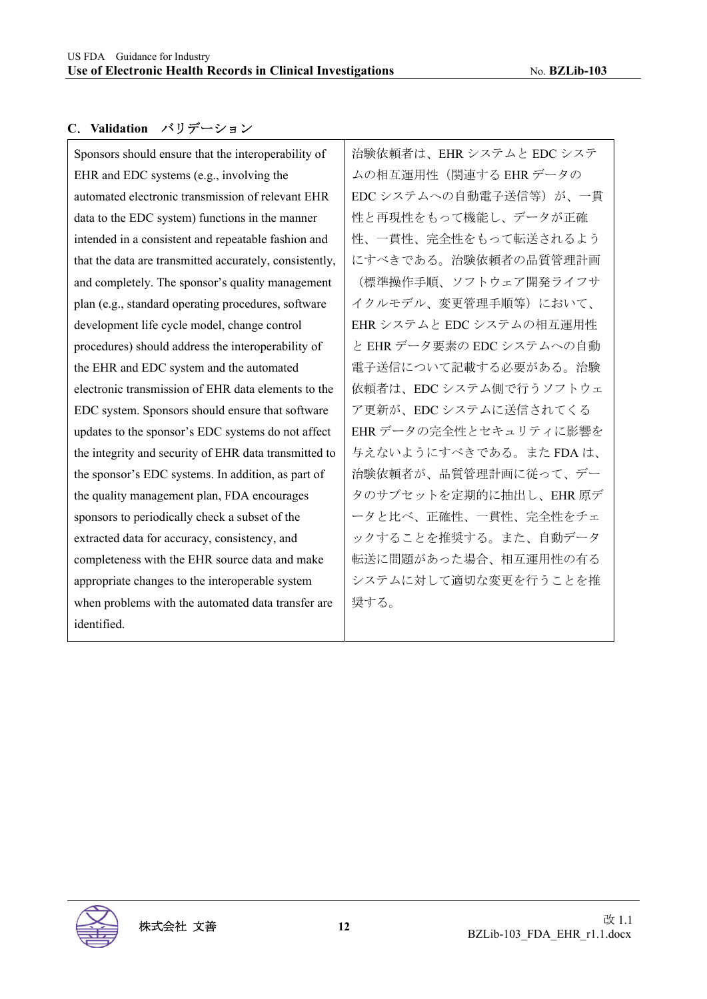Τ

#### **C**.**Validation** バリデーション

| Sponsors should ensure that the interoperability of     | 治験依頼者は、EH   |
|---------------------------------------------------------|-------------|
| EHR and EDC systems (e.g., involving the                | ムの相互運用性(    |
| automated electronic transmission of relevant EHR       | EDC システムへの  |
| data to the EDC system) functions in the manner         | 性と再現性をもっ~   |
| intended in a consistent and repeatable fashion and     | 性、一貫性、完全忙   |
| that the data are transmitted accurately, consistently, | にすべきである。    |
| and completely. The sponsor's quality management        | (標準操作手順、)   |
| plan (e.g., standard operating procedures, software     | イクルモデル、変    |
| development life cycle model, change control            | EHRシステムとEI  |
| procedures) should address the interoperability of      | と EHR データ要素 |
| the EHR and EDC system and the automated                | 電子送信について言   |
| electronic transmission of EHR data elements to the     | 依頼者は、EDCシ   |
| EDC system. Sponsors should ensure that software        | ア更新が、EDCシ   |
| updates to the sponsor's EDC systems do not affect      | EHRデータの完全   |
| the integrity and security of EHR data transmitted to   | 与えないようにす    |
| the sponsor's EDC systems. In addition, as part of      | 治験依頼者が、品    |
| the quality management plan, FDA encourages             | タのサブセットを    |
| sponsors to periodically check a subset of the          | ータと比べ、正確    |
| extracted data for accuracy, consistency, and           | ックすることを推    |
| completeness with the EHR source data and make          | 転送に問題があっ    |
| appropriate changes to the interoperable system         | システムに対して    |
| when problems with the automated data transfer are      | 奨する。        |
| identified.                                             |             |

IR システムと EDC システ 関連する EHR データの 自動電子送信等)が、一貫 て機能し、データが正確 性をもって転送されるよう 治験依頼者の品質管理計画 (標準操作手順、ソフトウェア開発ライフサ 更管理手順等)において、 DC システムの相互運用性 の EDC システムへの自動 記載する必要がある。治験 ステム側で行うソフトウェ ステムに送信されてくる 性とセキュリティに影響を べきである。また FDA は、 治験依頼者が、品質管理計画に従って、デー 定期的に抽出し、EHR 原デ 性、一貫性、完全性をチェ 奨する。また、自動データ 転送に問題があった場合、相互運用性の有る システムに対して適切な変更を行うことを推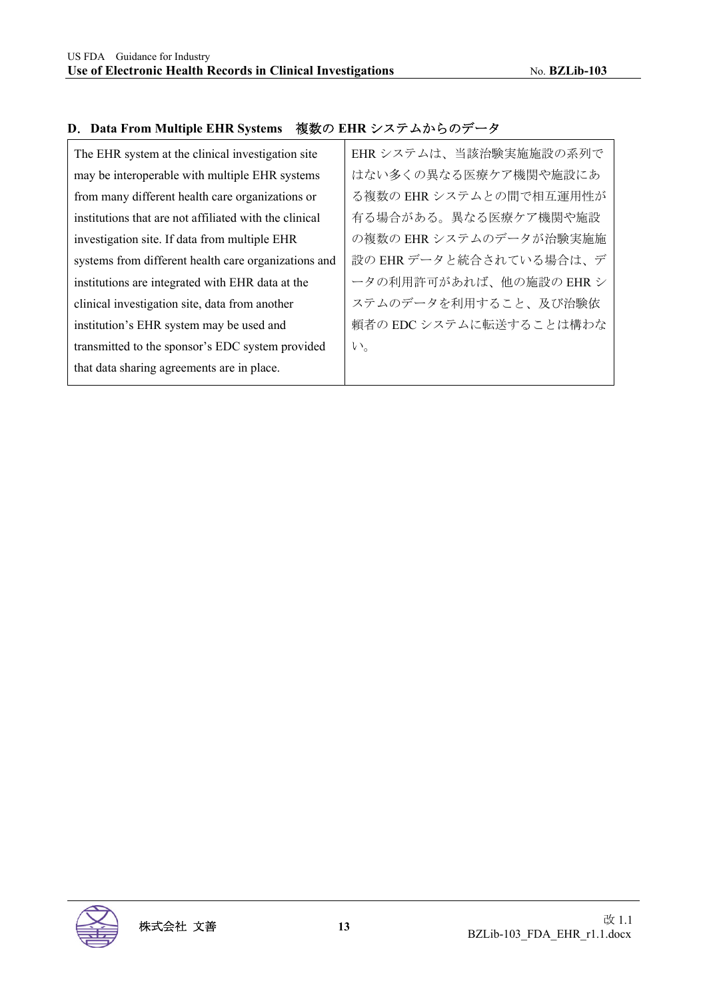## **D**.**Data From Multiple EHR Systems** 複数の **EHR** システムからのデータ

| The EHR system at the clinical investigation site      | EHR システムは、当該治験実施施設の系列で  |
|--------------------------------------------------------|-------------------------|
| may be interoperable with multiple EHR systems         | はない多くの異なる医療ケア機関や施設にあ    |
| from many different health care organizations or       | る複数の EHR システムとの間で相互運用性が |
| institutions that are not affiliated with the clinical | 有る場合がある。異なる医療ケア機関や施設    |
| investigation site. If data from multiple EHR          | の複数の EHR システムのデータが治験実施施 |
| systems from different health care organizations and   | 設の EHR データと統合されている場合は、デ |
| institutions are integrated with EHR data at the       | ータの利用許可があれば、他の施設の EHR シ |
| clinical investigation site, data from another         | ステムのデータを利用すること、及び治験依    |
| institution's EHR system may be used and               | 頼者の EDC システムに転送することは構わな |
| transmitted to the sponsor's EDC system provided       | い。                      |
| that data sharing agreements are in place.             |                         |

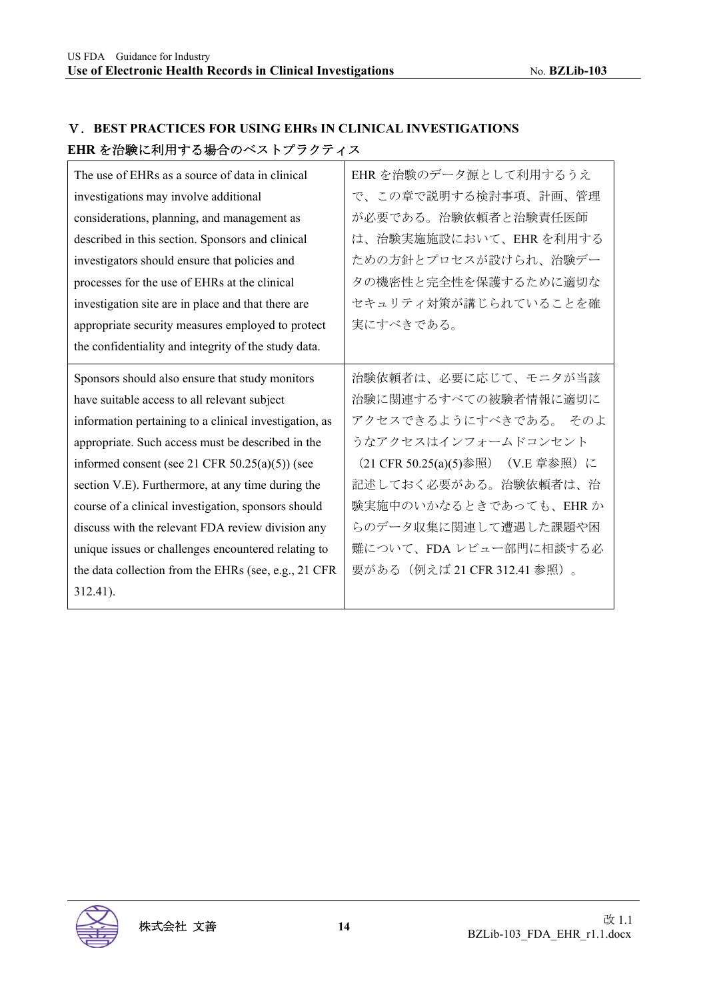| LIIIN 신 1H@XIC / '1/!! ) '상 ▒ 니 '╯ `'╯' l ノ ノ ノ ノ イ ノ''                                                                                                                                                                                                                                                                                                                                                                                                                                                                                                         |                                                                                                                                                                                                                                                                       |
|-----------------------------------------------------------------------------------------------------------------------------------------------------------------------------------------------------------------------------------------------------------------------------------------------------------------------------------------------------------------------------------------------------------------------------------------------------------------------------------------------------------------------------------------------------------------|-----------------------------------------------------------------------------------------------------------------------------------------------------------------------------------------------------------------------------------------------------------------------|
| The use of EHRs as a source of data in clinical<br>investigations may involve additional<br>considerations, planning, and management as<br>described in this section. Sponsors and clinical<br>investigators should ensure that policies and<br>processes for the use of EHRs at the clinical<br>investigation site are in place and that there are<br>appropriate security measures employed to protect<br>the confidentiality and integrity of the study data.                                                                                                | EHR を治験のデータ源として利用するうえ<br>で、この章で説明する検討事項、計画、管理<br>が必要である。治験依頼者と治験責任医師<br>は、治験実施施設において、EHRを利用する<br>ための方針とプロセスが設けられ、治験デー<br>タの機密性と完全性を保護するために適切な<br>セキュリティ対策が講じられていることを確<br>実にすべきである。                                                                                    |
| Sponsors should also ensure that study monitors<br>have suitable access to all relevant subject<br>information pertaining to a clinical investigation, as<br>appropriate. Such access must be described in the<br>informed consent (see 21 CFR $50.25(a)(5)$ ) (see<br>section V.E). Furthermore, at any time during the<br>course of a clinical investigation, sponsors should<br>discuss with the relevant FDA review division any<br>unique issues or challenges encountered relating to<br>the data collection from the EHRs (see, e.g., 21 CFR<br>312.41). | 治験依頼者は、必要に応じて、モニタが当該<br>治験に関連するすべての被験者情報に適切に<br>アクセスできるようにすべきである。 そのよ<br>うなアクセスはインフォームドコンセント<br>(21 CFR 50.25(a)(5)参照) (V.E 章参照) に<br>記述しておく必要がある。治験依頼者は、治<br>験実施中のいかなるときであっても、EHR か<br>らのデータ収集に関連して遭遇した課題や困<br>難について、FDA レビュー部門に相談する必<br>要がある(例えば 21 CFR 312.41 参照)。 |

#### Ⅴ.**BEST PRACTICES FOR USING EHRs IN CLINICAL INVESTIGATIONS EHR** を治験に利用する場合のベストプラクティス

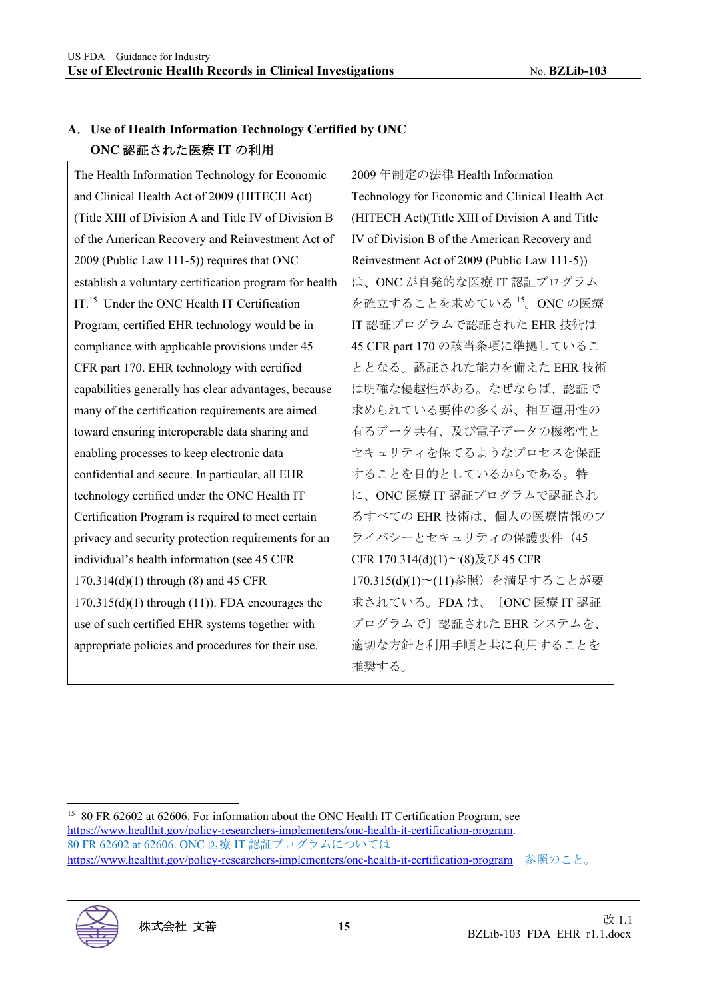#### **A**.**Use of Health Information Technology Certified by ONC ONC** 認証された医療 **IT** の利用

The Health Information Technology for Economic and Clinical Health Act of 2009 (HITECH Act) (Title XIII of Division A and Title IV of Division B of the American Recovery and Reinvestment Act of 2009 (Public Law 111-5)) requires that ONC establish a voluntary certification program for health IT.<sup>15</sup> Under the ONC Health IT Certification Program, certified EHR technology would be in compliance with applicable provisions under 45 CFR part 170. EHR technology with certified capabilities generally has clear advantages, because many of the certification requirements are aimed toward ensuring interoperable data sharing and enabling processes to keep electronic data confidential and secure. In particular, all EHR technology certified under the ONC Health IT Certification Program is required to meet certain privacy and security protection requirements for an individual's health information (see 45 CFR 170.314(d)(1) through (8) and 45 CFR 170.315(d)(1) through (11)). FDA encourages the use of such certified EHR systems together with appropriate policies and procedures for their use.

2009 年制定の法律 Health Information Technology for Economic and Clinical Health Act (HITECH Act)(Title XIII of Division A and Title IV of Division B of the American Recovery and Reinvestment Act of 2009 (Public Law 111-5)) は、ONC が自発的な医療 IT 認証プログラム を確立することを求めている <sup>15</sup>。ONC の医療 IT 認証プログラムで認証された EHR 技術は 45 CFR part 170 の該当条項に準拠しているこ ととなる。認証された能力を備えた EHR 技術 は明確な優越性がある。なぜならば、認証で 求められている要件の多くが、相互運用性の 有るデータ共有、及び電子データの機密性と セキュリティを保てるようなプロセスを保証 することを目的としているからである。特 に、ONC 医療 IT 認証プログラムで認証され るすべての EHR 技術は、個人の医療情報のプ ライバシーとセキュリティの保護要件 (45 CFR 170.314(d)(1)〜(8)及び 45 CFR 170.315(d)(1)〜(11)参照)を満足することが要 求されている。FDA は、〔ONC 医療 IT 認証 プログラムで〕認証された EHR システムを、 適切な方針と利用手順と共に利用することを 推奨する。

<sup>&</sup>lt;sup>15</sup> 80 FR 62602 at 62606. For information about the ONC Health IT Certification Program, see https://www.healthit.gov/policy-researchers-implementers/onc-health-it-certification-program. 80 FR 62602 at 62606. ONC 医療 IT 認証プログラムについては https://www.healthit.gov/policy-researchers-implementers/onc-health-it-certification-program 参照のこと。

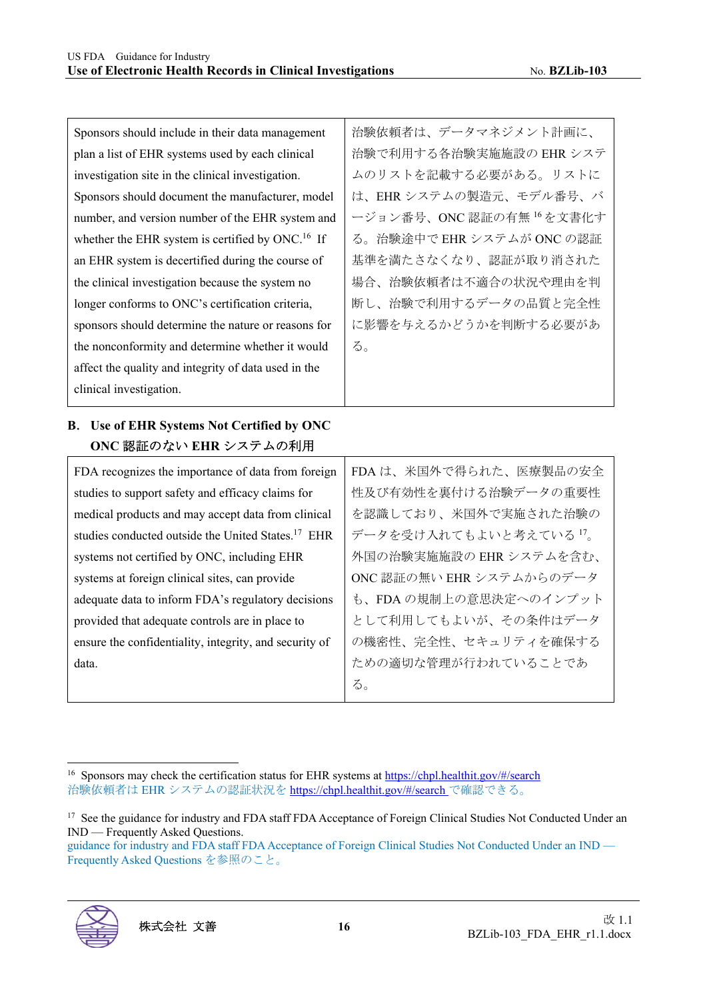| Sponsors should include in their data management                                                | 治験依頼者は、データマネジメント計画に、      |
|-------------------------------------------------------------------------------------------------|---------------------------|
| plan a list of EHR systems used by each clinical                                                | 治験で利用する各治験実施施設の EHR システ   |
| investigation site in the clinical investigation.                                               | ムのリストを記載する必要がある。リストに      |
| Sponsors should document the manufacturer, model                                                | は、EHRシステムの製造元、モデル番号、バ     |
| number, and version number of the EHR system and                                                | ージョン番号、ONC認証の有無16を文書化す    |
| whether the EHR system is certified by ONC. <sup>16</sup> If                                    | る。治験途中で EHR システムが ONC の認証 |
| an EHR system is decertified during the course of                                               | 基準を満たさなくなり、認証が取り消された      |
| the clinical investigation because the system no                                                | 場合、治験依頼者は不適合の状況や理由を判      |
| longer conforms to ONC's certification criteria,                                                | 断し、治験で利用するデータの品質と完全性      |
| sponsors should determine the nature or reasons for                                             | に影響を与えるかどうかを判断する必要があ      |
| the nonconformity and determine whether it would                                                | る。                        |
| affect the quality and integrity of data used in the                                            |                           |
| clinical investigation.                                                                         |                           |
|                                                                                                 |                           |
|                                                                                                 |                           |
| ONC 認証のない EHR システムの利用                                                                           |                           |
| FDA recognizes the importance of data from foreign                                              | FDA は、米国外で得られた、医療製品の安全    |
| B. Use of EHR Systems Not Certified by ONC<br>studies to support safety and efficacy claims for | 性及び有効性を裏付ける治験データの重要性      |
| medical products and may accept data from clinical                                              | を認識しており、米国外で実施された治験の      |
| studies conducted outside the United States. <sup>17</sup> EHR                                  | データを受け入れてもよいと考えている17。     |
| systems not certified by ONC, including EHR                                                     | 外国の治験実施施設の EHR システムを含む、   |
| systems at foreign clinical sites, can provide                                                  | ONC 認証の無い EHR システムからのデータ  |
| adequate data to inform FDA's regulatory decisions                                              | も、FDAの規制上の意思決定へのインプット     |
| provided that adequate controls are in place to                                                 | として利用してもよいが、その条件はデータ      |
| ensure the confidentiality, integrity, and security of                                          | の機密性、完全性、セキュリティを確保する      |
| data.                                                                                           | ための適切な管理が行われていることであ       |

guidance for industry and FDA staff FDA Acceptance of Foreign Clinical Studies Not Conducted Under an IND — Frequently Asked Questions を参照のこと。



<sup>&</sup>lt;sup>16</sup> Sponsors may check the certification status for EHR systems at https://chpl.healthit.gov/#/search 治験依頼者は EHR システムの認証状況を https://chpl.healthit.gov/#/search で確認できる。

<sup>&</sup>lt;sup>17</sup> See the guidance for industry and FDA staff FDA Acceptance of Foreign Clinical Studies Not Conducted Under an IND — Frequently Asked Questions.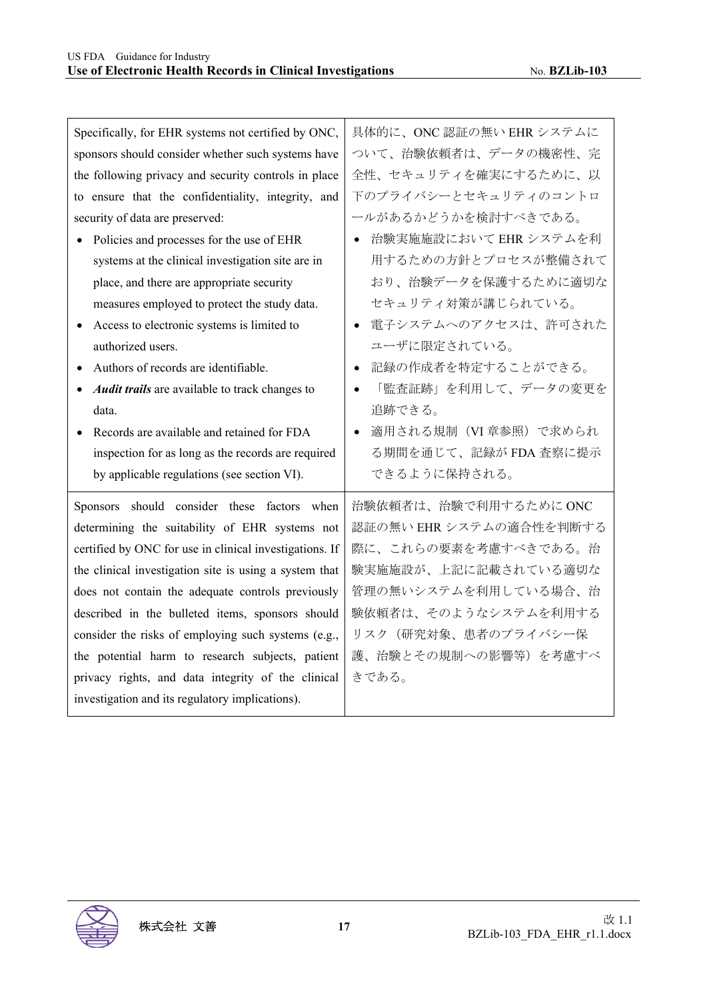| Specifically, for EHR systems not certified by ONC,         | 具体的に、ONC認証の無い EHR システムに             |
|-------------------------------------------------------------|-------------------------------------|
| sponsors should consider whether such systems have          | ついて、治験依頼者は、データの機密性、完                |
| the following privacy and security controls in place        | 全性、セキュリティを確実にするために、以                |
| to ensure that the confidentiality, integrity, and          | 下のプライバシーとセキュリティのコントロ                |
| security of data are preserved:                             | ールがあるかどうかを検討すべきである。                 |
| Policies and processes for the use of EHR<br>$\bullet$      | 治験実施施設において EHR システムを利<br>$\bullet$  |
| systems at the clinical investigation site are in           | 用するための方針とプロセスが整備されて                 |
| place, and there are appropriate security                   | おり、治験データを保護するために適切な                 |
| measures employed to protect the study data.                | セキュリティ対策が講じられている。                   |
| Access to electronic systems is limited to<br>$\bullet$     | 電子システムへのアクセスは、許可された<br>$\bullet$    |
| authorized users.                                           | ユーザに限定されている。                        |
| Authors of records are identifiable.<br>$\bullet$           | 記録の作成者を特定することができる。<br>$\bullet$     |
| Audit trails are available to track changes to<br>$\bullet$ | 「監査証跡」を利用して、データの変更を                 |
| data.                                                       | 追跡できる。                              |
| Records are available and retained for FDA<br>$\bullet$     | 適用される規制 (VI 章参照) で求められ<br>$\bullet$ |
| inspection for as long as the records are required          | る期間を通じて、記録が FDA 査察に提示               |
| by applicable regulations (see section VI).                 | できるように保持される。                        |
| Sponsors should consider these factors when                 | 治験依頼者は、治験で利用するためにONC                |
| determining the suitability of EHR systems not              | 認証の無い EHR システムの適合性を判断する             |
| certified by ONC for use in clinical investigations. If     | 際に、これらの要素を考慮すべきである。治                |
| the clinical investigation site is using a system that      | 験実施施設が、上記に記載されている適切な                |
| does not contain the adequate controls previously           | 管理の無いシステムを利用している場合、治                |
| described in the bulleted items, sponsors should            | 験依頼者は、そのようなシステムを利用する                |
| consider the risks of employing such systems (e.g.,         | リスク(研究対象、患者のプライバシー保                 |
| the potential harm to research subjects, patient            | 護、治験とその規制への影響等)を考慮すべ                |
| privacy rights, and data integrity of the clinical          | きである。                               |
| investigation and its regulatory implications).             |                                     |

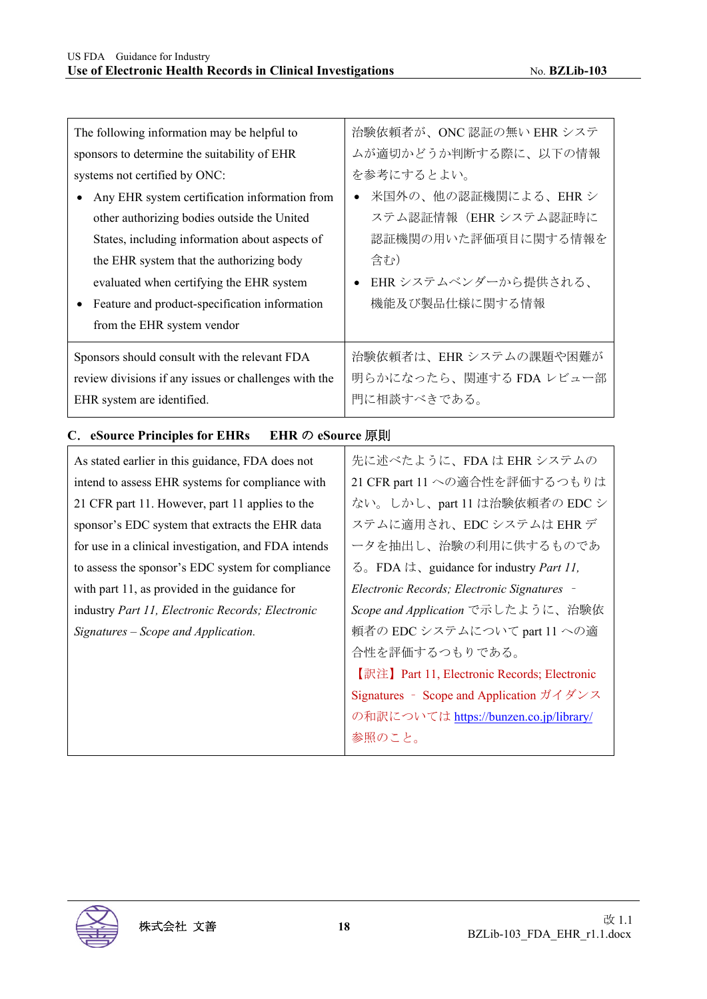| The following information may be helpful to           | 治験依頼者が、ONC認証の無い EHR システ                                                                                  |
|-------------------------------------------------------|----------------------------------------------------------------------------------------------------------|
| sponsors to determine the suitability of EHR          | ムが適切かどうか判断する際に、以下の情報                                                                                     |
| systems not certified by ONC:                         | を参考にするとよい。                                                                                               |
| Any EHR system certification information from         | 米国外の、他の認証機関による、EHRシ<br>$\bullet$                                                                         |
| other authorizing bodies outside the United           | ステム認証情報 (EHR システム認証時に                                                                                    |
| States, including information about aspects of        | 認証機関の用いた評価項目に関する情報を                                                                                      |
| the EHR system that the authorizing body              | 含む)                                                                                                      |
| evaluated when certifying the EHR system              | EHR システムベンダーから提供される、                                                                                     |
| Feature and product-specification information         | 機能及び製品仕様に関する情報                                                                                           |
| from the EHR system vendor                            |                                                                                                          |
| Sponsors should consult with the relevant FDA         | 治験依頼者は、EHRシステムの課題や困難が                                                                                    |
| review divisions if any issues or challenges with the | 明らかになったら、関連する FDA レビュー部                                                                                  |
| EHR system are identified.                            | 門に相談すべきである。                                                                                              |
| EHR の eSource 原則<br>C. eSource Principles for EHRs    |                                                                                                          |
| As stated earlier in this guidance, FDA does not      | 先に述べたように、FDA は EHR システムの                                                                                 |
| intend to assess EHR systems for compliance with      | 21 CFR part 11 への適合性を評価するつもりは                                                                            |
| 21 CFR part 11. However, part 11 applies to the       | ない。しかし、part 11 は治験依頼者の EDC シ                                                                             |
| sponsor's EDC system that extracts the EHR data       | ステムに適用され、EDC システムは EHR デ                                                                                 |
| for use in a clinical investigation, and FDA intends  | ータを抽出し、治験の利用に供するものであ                                                                                     |
| to assess the sponsor's EDC system for compliance     | る。FDA は、guidance for industry Part 11,                                                                   |
| with part 11, as provided in the guidance for         | Electronic Records; Electronic Signatures -                                                              |
| industry Part 11, Electronic Records; Electronic      | Scope and Application で示したように、治験依                                                                        |
| Signatures - Scope and Application.                   |                                                                                                          |
|                                                       | 頼者の EDC システムについて part 11 への適                                                                             |
|                                                       | 合性を評価するつもりである。                                                                                           |
|                                                       | 【訳注】Part 11, Electronic Records; Electronic                                                              |
|                                                       | Signatures - Scope and Application $\overrightarrow{y}$ $\overrightarrow{y}$ $\vee$ $\overrightarrow{z}$ |
|                                                       | の和訳については https://bunzen.co.jp/library/                                                                   |

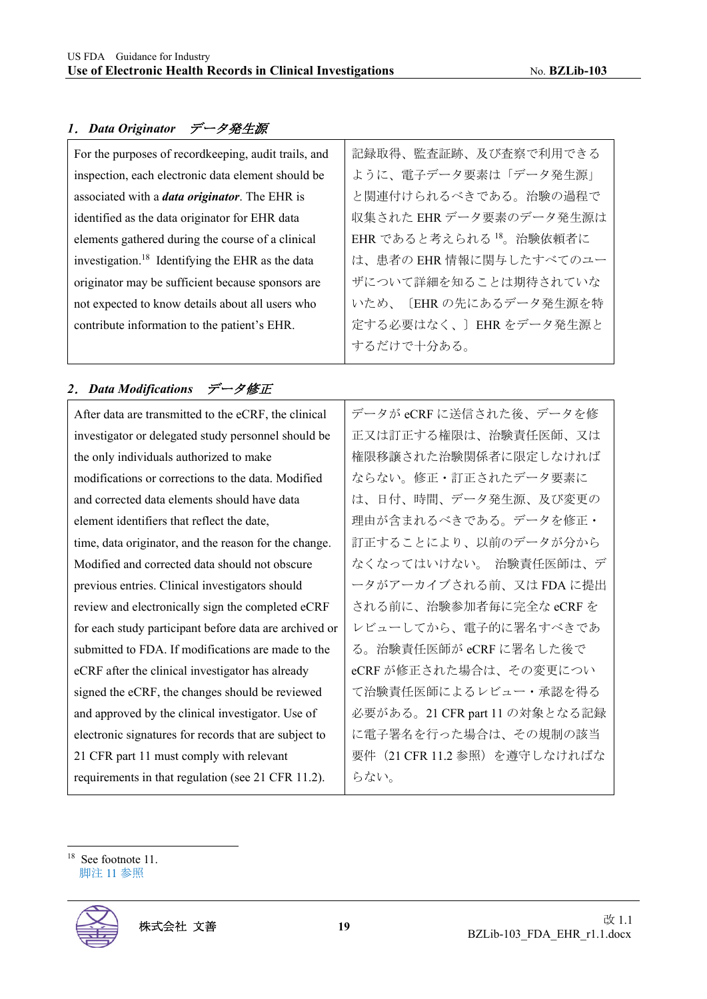#### *1*.*Data Originator* データ発生源

| For the purposes of recordkeeping, audit trails, and         | 記録取得、監査証跡、及び査察で利用できる                |
|--------------------------------------------------------------|-------------------------------------|
| inspection, each electronic data element should be           | ように、電子データ要素は「データ発生源」                |
| associated with a <i>data originator</i> . The EHR is        | と関連付けられるべきである。治験の過程で                |
| identified as the data originator for EHR data               | 収集された EHR データ要素のデータ発生源は             |
| elements gathered during the course of a clinical            | EHR であると考えられる <sup>18</sup> 。治験依頼者に |
| investigation. <sup>18</sup> Identifying the EHR as the data | は、患者の EHR 情報に関与したすべてのユー             |
| originator may be sufficient because sponsors are            | ザについて詳細を知ることは期待されていな                |
| not expected to know details about all users who             | いため、〔EHRの先にあるデータ発生源を特               |
| contribute information to the patient's EHR.                 | 定する必要はなく、〕EHRをデータ発生源と               |
|                                                              | するだけで十分ある。                          |

#### *2*.*Data Modifications* データ修正

After data are transmitted to the eCRF, the clinical investigator or delegated study personnel should be the only individuals authorized to make modifications or corrections to the data. Modified and corrected data elements should have data element identifiers that reflect the date, time, data originator, and the reason for the change. Modified and corrected data should not obscure previous entries. Clinical investigators should review and electronically sign the completed eCRF for each study participant before data are archived or submitted to FDA. If modifications are made to the eCRF after the clinical investigator has already signed the eCRF, the changes should be reviewed and approved by the clinical investigator. Use of electronic signatures for records that are subject to 21 CFR part 11 must comply with relevant requirements in that regulation (see 21 CFR 11.2).

データが eCRF に送信された後、データを修 正又は訂正する権限は、治験責任医師、又は 権限移譲された治験関係者に限定しなければ ならない。修正・訂正されたデータ要素に は、日付、時間、データ発生源、及び変更の 理由が含まれるべきである。データを修正・ 訂正することにより、以前のデータが分から なくなってはいけない。 治験責任医師は、デ ータがアーカイブされる前、又は FDA に提出 される前に、治験参加者毎に完全な eCRF を レビューしてから、電子的に署名すべきであ る。治験責任医師が eCRF に署名した後で eCRF が修正された場合は、その変更につい て治験責任医師によるレビュー・承認を得る 必要がある。21 CFR part 11 の対象となる記録 に電子署名を行った場合は、その規制の該当 要件 (21 CFR 11.2 参照) を遵守しなければな らない。

<sup>18</sup> See footnote 11. 脚注 11 参照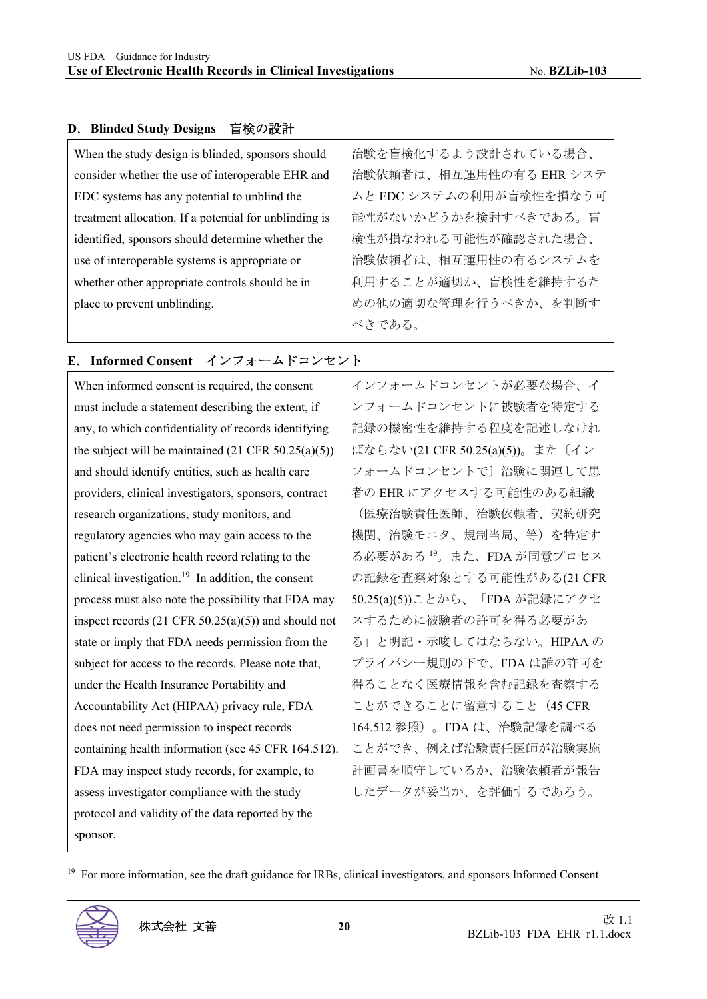#### **D**.**Blinded Study Designs** 盲検の設計

| When the study design is blinded, sponsors should      | 治験を盲検化するよう設計されている場合、    |
|--------------------------------------------------------|-------------------------|
| consider whether the use of interoperable EHR and      | 治験依頼者は、相互運用性の有る EHR システ |
| EDC systems has any potential to unblind the           | ムと EDC システムの利用が盲検性を損なう可 |
| treatment allocation. If a potential for unblinding is | 能性がないかどうかを検討すべきである。盲    |
| identified, sponsors should determine whether the      | 検性が損なわれる可能性が確認された場合、    |
| use of interoperable systems is appropriate or         | 治験依頼者は、相互運用性の有るシステムを    |
| whether other appropriate controls should be in        | 利用することが適切か、盲検性を維持するた    |
| place to prevent unblinding.                           | めの他の適切な管理を行うべきか、を判断す    |
|                                                        | べきである。                  |

### **E**.**Informed Consent** インフォームドコンセント

| When informed consent is required, the consent                 | インフォームドコンセントが必要な場合、イ                 |
|----------------------------------------------------------------|--------------------------------------|
| must include a statement describing the extent, if             | ンフォームドコンセントに被験者を特定する                 |
| any, to which confidentiality of records identifying           | 記録の機密性を維持する程度を記述しなけれ                 |
| the subject will be maintained $(21 \text{ CFR } 50.25(a)(5))$ | ばならない(21 CFR 50.25(a)(5))。また〔イン      |
| and should identify entities, such as health care              | フォームドコンセントで〕治験に関連して患                 |
| providers, clinical investigators, sponsors, contract          | 者の EHR にアクセスする可能性のある組織               |
| research organizations, study monitors, and                    | (医療治験責任医師、治験依頼者、契約研究                 |
| regulatory agencies who may gain access to the                 | 機関、治験モニタ、規制当局、等)を特定す                 |
| patient's electronic health record relating to the             | る必要がある <sup>19</sup> 。また、FDA が同意プロセス |
| clinical investigation. <sup>19</sup> In addition, the consent | の記録を査察対象とする可能性がある(21 CFR             |
| process must also note the possibility that FDA may            | 50.25(a)(5))ことから、「FDA が記録にアクセ        |
| inspect records $(21 \text{ CFR } 50.25(a)(5))$ and should not | スするために被験者の許可を得る必要があ                  |
| state or imply that FDA needs permission from the              | る」と明記・示唆してはならない。HIPAAの               |
| subject for access to the records. Please note that,           | プライバシー規則の下で、FDAは誰の許可を                |
| under the Health Insurance Portability and                     | 得ることなく医療情報を含む記録を査察する                 |
| Accountability Act (HIPAA) privacy rule, FDA                   | ことができることに留意すること (45 CFR              |
| does not need permission to inspect records                    | 164.512 参照)。FDA は、治験記録を調べる           |
| containing health information (see 45 CFR 164.512).            | ことができ、例えば治験責任医師が治験実施                 |
| FDA may inspect study records, for example, to                 | 計画書を順守しているか、治験依頼者が報告                 |
| assess investigator compliance with the study                  | したデータが妥当か、を評価するであろう。                 |
| protocol and validity of the data reported by the              |                                      |
| sponsor.                                                       |                                      |

<sup>19</sup> For more information, see the draft guidance for IRBs, clinical investigators, and sponsors Informed Consent

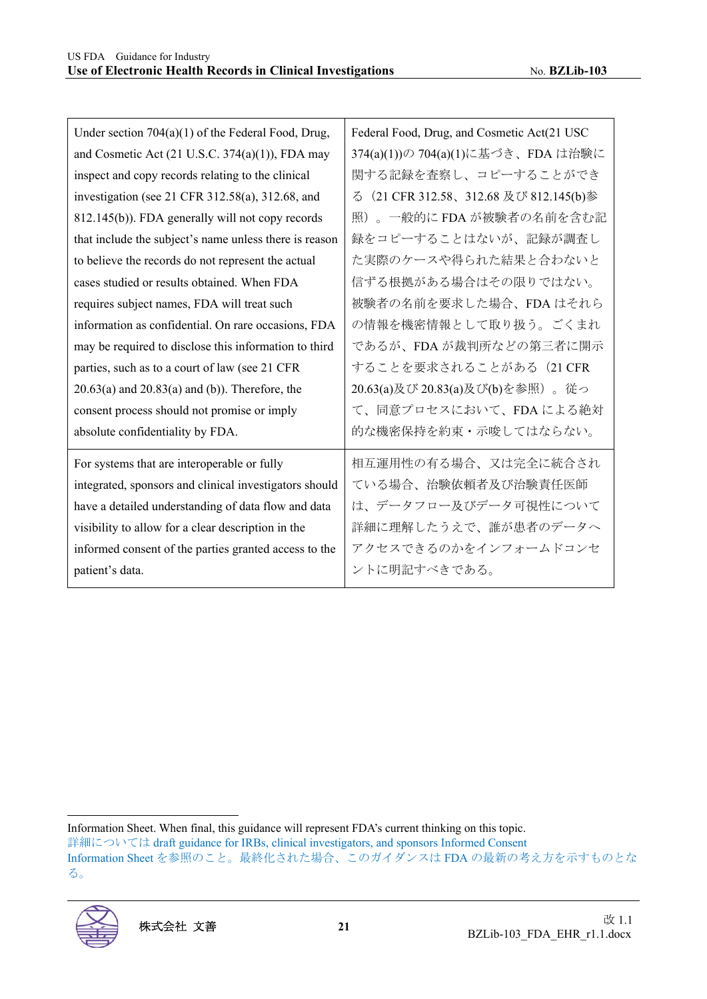| Under section $704(a)(1)$ of the Federal Food, Drug,   | Federal Food, Drug, and Cosmetic Act(21 USC     |
|--------------------------------------------------------|-------------------------------------------------|
| and Cosmetic Act (21 U.S.C. 374(a)(1)), FDA may        | 374(a)(1))の 704(a)(1)に基づき、FDA は治験に              |
| inspect and copy records relating to the clinical      | 関する記録を査察し、コピーすることができ                            |
| investigation (see 21 CFR 312.58(a), 312.68, and       | (21 CFR 312.58、312.68 及び 812.145(b)参<br>$\zeta$ |
| 812.145(b)). FDA generally will not copy records       | 照)。一般的に FDA が被験者の名前を含む記                         |
| that include the subject's name unless there is reason | 録をコピーすることはないが、記録が調査し                            |
| to believe the records do not represent the actual     | た実際のケースや得られた結果と合わないと                            |
| cases studied or results obtained. When FDA            | 信ずる根拠がある場合はその限りではない。                            |
| requires subject names, FDA will treat such            | 被験者の名前を要求した場合、FDAはそれら                           |
| information as confidential. On rare occasions, FDA    | の情報を機密情報として取り扱う。ごくまれ                            |
| may be required to disclose this information to third  | であるが、FDA が裁判所などの第三者に開示                          |
| parties, such as to a court of law (see 21 CFR         | することを要求されることがある (21 CFR                         |
| $20.63(a)$ and $20.83(a)$ and (b)). Therefore, the     | 20.63(a)及び 20.83(a)及び(b)を参照)。従っ                 |
| consent process should not promise or imply            | て、同意プロセスにおいて、FDA による絶対                          |
| absolute confidentiality by FDA.                       | 的な機密保持を約束・示唆してはならない。                            |
| For systems that are interoperable or fully            | 相互運用性の有る場合、又は完全に統合され                            |
| integrated, sponsors and clinical investigators should | ている場合、治験依頼者及び治験責任医師                             |
| have a detailed understanding of data flow and data    | は、データフロー及びデータ可視性について                            |
| visibility to allow for a clear description in the     | 詳細に理解したうえで、誰が患者のデータへ                            |
| informed consent of the parties granted access to the  | アクセスできるのかをインフォームドコンセ                            |
| patient's data.                                        | ントに明記すべきである。                                    |

詳細については draft guidance for IRBs, clinical investigators, and sponsors Informed Consent

Information Sheet を参照のこと。最終化された場合、このガイダンスは FDA の最新の考え方を示すものとな る。



Information Sheet. When final, this guidance will represent FDA's current thinking on this topic.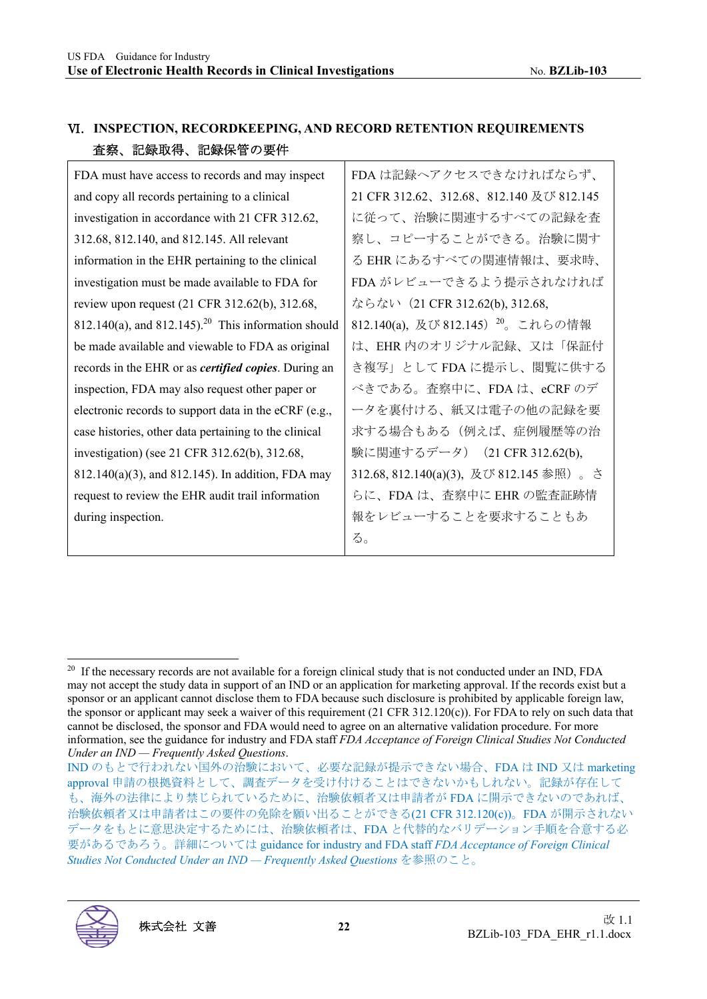|                 | VI. INSPECTION, RECORDKEEPING, AND RECORD RETENTION REQUIREMENTS |
|-----------------|------------------------------------------------------------------|
| 査察、記録取得、記録保管の要件 |                                                                  |

| FDA must have access to records and may inspect                      | FDA は記録               |
|----------------------------------------------------------------------|-----------------------|
| and copy all records pertaining to a clinical                        | 21 CFR 312.6          |
| investigation in accordance with 21 CFR 312.62,                      | に従って、汁                |
| 312.68, 812.140, and 812.145. All relevant                           | 察し、コピー                |
| information in the EHR pertaining to the clinical                    | る EHR にあ              |
| investigation must be made available to FDA for                      | FDA がレビ:              |
| review upon request (21 CFR 312.62(b), 312.68,                       | ならない (2)              |
| $812.140(a)$ , and $812.145$ . <sup>20</sup> This information should | 812.140(a), $\bar{D}$ |
| be made available and viewable to FDA as original                    | は、EHR 内の              |
| records in the EHR or as <i>certified copies</i> . During an         | き複写」とし                |
| inspection, FDA may also request other paper or                      | べきである。                |
| electronic records to support data in the eCRF (e.g.,                | ータを裏付け                |
| case histories, other data pertaining to the clinical                | 求する場合も                |
| investigation) (see 21 CFR 312.62(b), 312.68,                        | 験に関連する                |
| 812.140(a)(3), and 812.145). In addition, FDA may                    | 312.68, 812.14        |
| request to review the EHR audit trail information                    | らに、FDAI               |
| during inspection.                                                   | 報をレビュー                |
|                                                                      |                       |

FDA は記録へアクセスできなければならず、 2、312.68、812.140 及び 812.145 に従って、治験に関連するすべての記録を査 察し、コピーすることができる。治験に関す るすべての関連情報は、要求時、 ューできるよう提示されなければ 1 CFR 312.62(b), 312.68,  $20(312.145)$   $20(200)$  これらの情報 は、EHR 内のオリジナル記録、又は「保証付 き複写」として FDA に提示し、閲覧に供する 査察中に、FDA は、eCRF のデ ータを裏付ける、紙又は電子の他の記録を要 求する場合もある(例えば、症例履歴等の治  $(5\tilde{\tau} - \tilde{\tau})$  (21 CFR 312.62(b), 312.68, 812.140(a)(3), 及び 812.145 参照)。さ ま、査察中に EHR の監査証跡情 -することを要求することもあ る。

IND のもとで行われない国外の治験において、必要な記録が提示できない場合、FDA は IND 又は marketing approval 申請の根拠資料として、調査データを受け付けることはできないかもしれない。記録が存在して も、海外の法律により禁じられているために、治験依頼者又は申請者が FDA に開示できないのであれば、 治験依頼者又は申請者はこの要件の免除を願い出ることができる(21 CFR 312.120(c))。FDA が開示されない データをもとに意思決定するためには、治験依頼者は、FDA と代替的なバリデーション手順を合意する必 要があるであろう。詳細については guidance for industry and FDA staff *FDA Acceptance of Foreign Clinical Studies Not Conducted Under an IND — Frequently Asked Questions* を参照のこと。



<sup>&</sup>lt;sup>20</sup> If the necessary records are not available for a foreign clinical study that is not conducted under an IND, FDA may not accept the study data in support of an IND or an application for marketing approval. If the records exist but a sponsor or an applicant cannot disclose them to FDA because such disclosure is prohibited by applicable foreign law, the sponsor or applicant may seek a waiver of this requirement  $(21 \text{ CFR } 312.120(c))$ . For FDA to rely on such data that cannot be disclosed, the sponsor and FDA would need to agree on an alternative validation procedure. For more information, see the guidance for industry and FDA staff *FDA Acceptance of Foreign Clinical Studies Not Conducted Under an IND — Frequently Asked Questions*.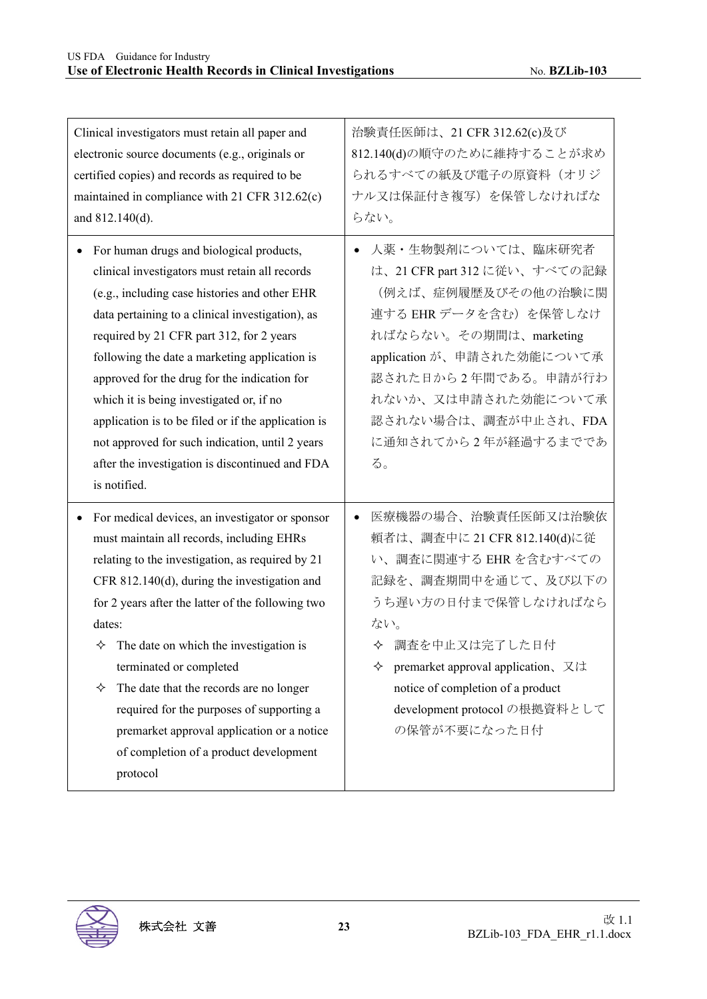| Clinical investigators must retain all paper and                                                                                                                                                                                                                                                                                                                                                                                                                                                                                                 | 治験責任医師は、21 CFR 312.62(c)及び                                                                                                                                                                                                                                                                        |
|--------------------------------------------------------------------------------------------------------------------------------------------------------------------------------------------------------------------------------------------------------------------------------------------------------------------------------------------------------------------------------------------------------------------------------------------------------------------------------------------------------------------------------------------------|---------------------------------------------------------------------------------------------------------------------------------------------------------------------------------------------------------------------------------------------------------------------------------------------------|
| electronic source documents (e.g., originals or                                                                                                                                                                                                                                                                                                                                                                                                                                                                                                  | 812.140(d)の順守のために維持することが求め                                                                                                                                                                                                                                                                        |
| certified copies) and records as required to be                                                                                                                                                                                                                                                                                                                                                                                                                                                                                                  | られるすべての紙及び電子の原資料(オリジ                                                                                                                                                                                                                                                                              |
| maintained in compliance with 21 CFR 312.62(c)                                                                                                                                                                                                                                                                                                                                                                                                                                                                                                   | ナル又は保証付き複写)を保管しなければな                                                                                                                                                                                                                                                                              |
| and 812.140(d).                                                                                                                                                                                                                                                                                                                                                                                                                                                                                                                                  | らない。                                                                                                                                                                                                                                                                                              |
| For human drugs and biological products,<br>٠<br>clinical investigators must retain all records<br>(e.g., including case histories and other EHR<br>data pertaining to a clinical investigation), as<br>required by 21 CFR part 312, for 2 years<br>following the date a marketing application is<br>approved for the drug for the indication for<br>which it is being investigated or, if no<br>application is to be filed or if the application is                                                                                             | 人薬・生物製剤については、臨床研究者<br>$\bullet$<br>は、21 CFR part 312 に従い、すべての記録<br>(例えば、症例履歴及びその他の治験に関<br>連する EHR データを含む)を保管しなけ<br>ればならない。その期間は、marketing<br>application が、申請された効能について承<br>認された日から2年間である。申請が行わ<br>れないか、又は申請された効能について承<br>認されない場合は、調査が中止され、FDA                                                     |
| not approved for such indication, until 2 years                                                                                                                                                                                                                                                                                                                                                                                                                                                                                                  | に通知されてから2年が経過するまでであ                                                                                                                                                                                                                                                                               |
| after the investigation is discontinued and FDA                                                                                                                                                                                                                                                                                                                                                                                                                                                                                                  | る。                                                                                                                                                                                                                                                                                                |
| is notified.                                                                                                                                                                                                                                                                                                                                                                                                                                                                                                                                     |                                                                                                                                                                                                                                                                                                   |
| For medical devices, an investigator or sponsor<br>must maintain all records, including EHRs<br>relating to the investigation, as required by 21<br>CFR 812.140(d), during the investigation and<br>for 2 years after the latter of the following two<br>dates:<br>$\Diamond$ The date on which the investigation is<br>terminated or completed<br>The date that the records are no longer<br>✧<br>required for the purposes of supporting a<br>premarket approval application or a notice<br>of completion of a product development<br>protocol | 医療機器の場合、治験責任医師又は治験依<br>$\bullet$<br>頼者は、調査中に 21 CFR 812.140(d)に従<br>い、調査に関連する EHR を含むすべての<br>記録を、調査期間中を通じて、及び以下の<br>うち遅い方の日付まで保管しなければなら<br>ない。<br>◆ 調査を中止又は完了した日付<br>premarket approval application、又は<br>✧<br>notice of completion of a product<br>development protocol の根拠資料として<br>の保管が不要になった日付 |

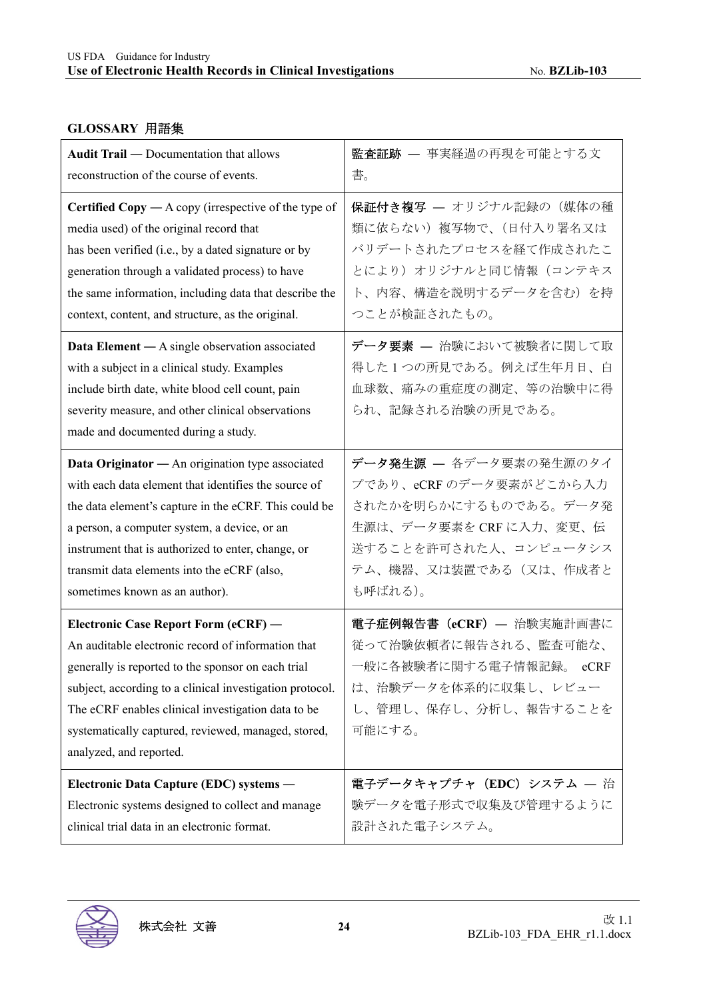#### **GLOSSARY** 用語集

| <b>Audit Trail — Documentation that allows</b>                                                                                                                                                                                                                                                                                                       | 監査証跡 – 事実経過の再現を可能とする文                                                                                                                    |
|------------------------------------------------------------------------------------------------------------------------------------------------------------------------------------------------------------------------------------------------------------------------------------------------------------------------------------------------------|------------------------------------------------------------------------------------------------------------------------------------------|
| reconstruction of the course of events.                                                                                                                                                                                                                                                                                                              | 書。                                                                                                                                       |
| <b>Certified Copy</b> $-A$ copy (irrespective of the type of                                                                                                                                                                                                                                                                                         | 保証付き複写 – オリジナル記録の (媒体の種                                                                                                                  |
| media used) of the original record that                                                                                                                                                                                                                                                                                                              | 類に依らない)複写物で、(日付入り署名又は                                                                                                                    |
| has been verified (i.e., by a dated signature or by                                                                                                                                                                                                                                                                                                  | バリデートされたプロセスを経て作成されたこ                                                                                                                    |
| generation through a validated process) to have                                                                                                                                                                                                                                                                                                      | とにより)オリジナルと同じ情報(コンテキス                                                                                                                    |
| the same information, including data that describe the                                                                                                                                                                                                                                                                                               | ト、内容、構造を説明するデータを含む)を持                                                                                                                    |
| context, content, and structure, as the original.                                                                                                                                                                                                                                                                                                    | つことが検証されたもの。                                                                                                                             |
| <b>Data Element</b> — A single observation associated<br>with a subject in a clinical study. Examples<br>include birth date, white blood cell count, pain<br>severity measure, and other clinical observations<br>made and documented during a study.                                                                                                | データ要素 – 治験において被験者に関して取<br>得した1つの所見である。例えば生年月日、白<br>血球数、痛みの重症度の測定、等の治験中に得<br>られ、記録される治験の所見である。                                            |
| Data Originator - An origination type associated                                                                                                                                                                                                                                                                                                     | データ発生源 - 各データ要素の発生源のタイ                                                                                                                   |
| with each data element that identifies the source of                                                                                                                                                                                                                                                                                                 | プであり、eCRF のデータ要素がどこから入力                                                                                                                  |
| the data element's capture in the eCRF. This could be                                                                                                                                                                                                                                                                                                | されたかを明らかにするものである。データ発                                                                                                                    |
| a person, a computer system, a device, or an                                                                                                                                                                                                                                                                                                         | 生源は、データ要素を CRF に入力、変更、伝                                                                                                                  |
| instrument that is authorized to enter, change, or                                                                                                                                                                                                                                                                                                   | 送することを許可された人、コンピュータシス                                                                                                                    |
| transmit data elements into the eCRF (also,                                                                                                                                                                                                                                                                                                          | テム、機器、又は装置である(又は、作成者と                                                                                                                    |
| sometimes known as an author).                                                                                                                                                                                                                                                                                                                       | も呼ばれる)。                                                                                                                                  |
| Electronic Case Report Form (eCRF) -<br>An auditable electronic record of information that<br>generally is reported to the sponsor on each trial<br>subject, according to a clinical investigation protocol.<br>The eCRF enables clinical investigation data to be<br>systematically captured, reviewed, managed, stored,<br>analyzed, and reported. | 電子症例報告書 (eCRF) - 治験実施計画書に<br>従って治験依頼者に報告される、監査可能な、<br>一般に各被験者に関する電子情報記録。 eCRF<br>は、治験データを体系的に収集し、レビュー<br>し、管理し、保存し、分析し、報告することを<br>可能にする。 |
| Electronic Data Capture (EDC) systems -                                                                                                                                                                                                                                                                                                              | 電子データキャプチャ (EDC) システム - 治                                                                                                                |
| Electronic systems designed to collect and manage                                                                                                                                                                                                                                                                                                    | 験データを電子形式で収集及び管理するように                                                                                                                    |
| clinical trial data in an electronic format.                                                                                                                                                                                                                                                                                                         | 設計された電子システム。                                                                                                                             |

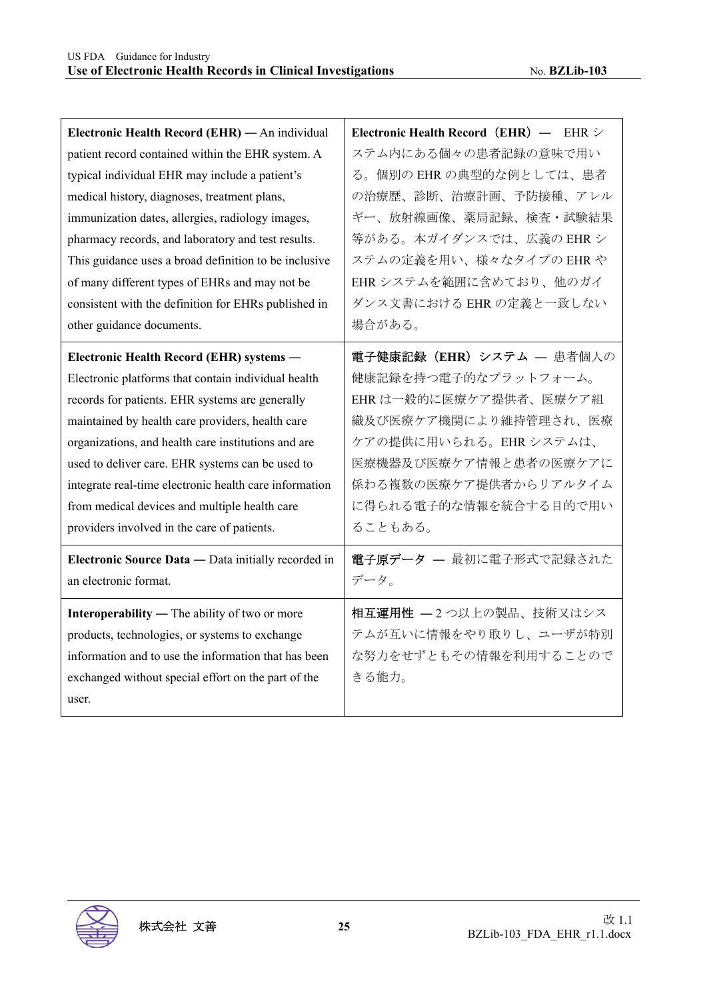| Electronic Health Record (EHR) $-$ EHR $\triangleright$ |
|---------------------------------------------------------|
| ステム内にある個々の患者記録の意味で用い                                    |
| る。個別の EHR の典型的な例としては、患者                                 |
| の治療歴、診断、治療計画、予防接種、アレル                                   |
| ギー、放射線画像、薬局記録、検査・試験結果                                   |
| 等がある。本ガイダンスでは、広義の EHR シ                                 |
| ステムの定義を用い、様々なタイプの EHR や                                 |
| EHRシステムを範囲に含めており、他のガイ                                   |
| ダンス文書における EHR の定義と一致しない                                 |
| 場合がある。                                                  |
| 電子健康記録 (EHR) システム – 患者個人の                               |
| 健康記録を持つ電子的なプラットフォーム。                                    |
| EHR は一般的に医療ケア提供者、医療ケア組                                  |
| 織及び医療ケア機関により維持管理され、医療                                   |
| ケアの提供に用いられる。EHRシステムは、                                   |
| 医療機器及び医療ケア情報と患者の医療ケアに                                   |
| 係わる複数の医療ケア提供者からリアルタイム                                   |
| に得られる電子的な情報を統合する目的で用い                                   |
| ることもある。                                                 |
| 電子原データ – 最初に電子形式で記録された                                  |
| データ。                                                    |
| 相互運用性 - 2つ以上の製品、技術又はシス                                  |
| テムが互いに情報をやり取りし、ユーザが特別                                   |
| な努力をせずともその情報を利用することので                                   |
| きる能力。                                                   |
|                                                         |
|                                                         |